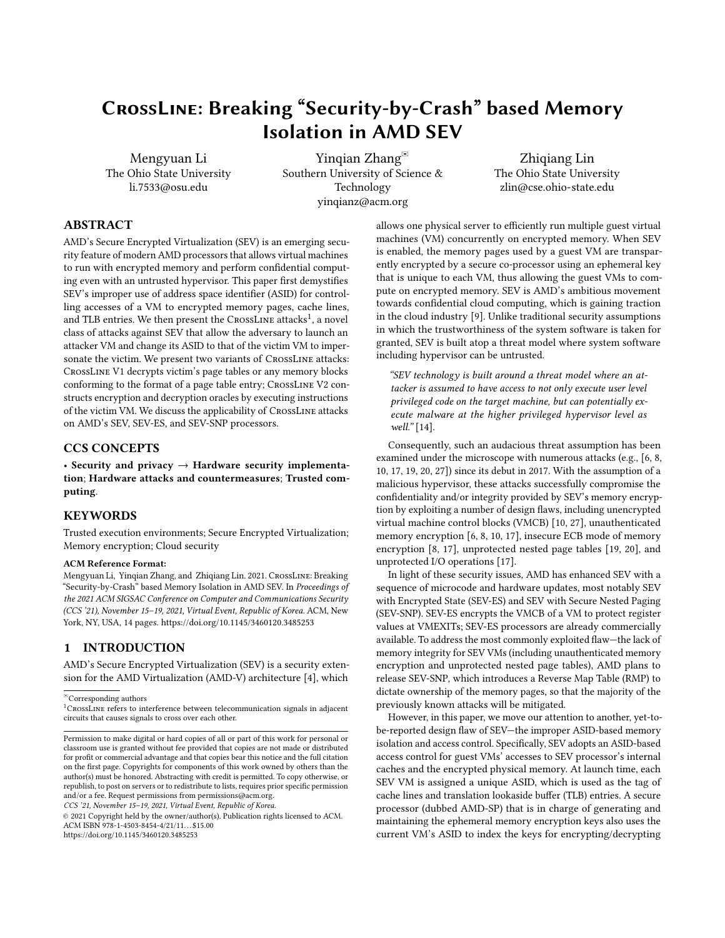# CrossLine: Breaking "Security-by-Crash" based Memory Isolation in AMD SEV

Mengyuan Li The Ohio State University li.7533@osu.edu

Yinqian Zhang<sup>⊠</sup> Southern University of Science & Technology yinqianz@acm.org

Zhiqiang Lin The Ohio State University zlin@cse.ohio-state.edu

# ABSTRACT

AMD's Secure Encrypted Virtualization (SEV) is an emerging security feature of modern AMD processors that allows virtual machines to run with encrypted memory and perform confidential computing even with an untrusted hypervisor. This paper first demystifies SEV's improper use of address space identifier (ASID) for controlling accesses of a VM to encrypted memory pages, cache lines, and TLB entries. We then present the  $\sf CrossLINE$  attacks $^1$  $^1$ , a novel class of attacks against SEV that allow the adversary to launch an attacker VM and change its ASID to that of the victim VM to impersonate the victim. We present two variants of CrossLine attacks: CrossLine V1 decrypts victim's page tables or any memory blocks conforming to the format of a page table entry; CrossLine V2 constructs encryption and decryption oracles by executing instructions of the victim VM. We discuss the applicability of CrossLine attacks on AMD's SEV, SEV-ES, and SEV-SNP processors.

# CCS CONCEPTS

• Security and privacy  $\rightarrow$  Hardware security implementation; Hardware attacks and countermeasures; Trusted computing.

# **KEYWORDS**

Trusted execution environments; Secure Encrypted Virtualization; Memory encryption; Cloud security

#### ACM Reference Format:

Mengyuan Li, Yinqian Zhang, and Zhiqiang Lin. 2021. CrossLine: Breaking "Security-by-Crash" based Memory Isolation in AMD SEV. In Proceedings of the 2021 ACM SIGSAC Conference on Computer and Communications Security (CCS '21), November 15–19, 2021, Virtual Event, Republic of Korea. ACM, New York, NY, USA, [14](#page-13-0) pages.<https://doi.org/10.1145/3460120.3485253>

## 1 INTRODUCTION

AMD's Secure Encrypted Virtualization (SEV) is a security extension for the AMD Virtualization (AMD-V) architecture [\[4\]](#page-12-0), which

CCS '21, November 15–19, 2021, Virtual Event, Republic of Korea.

© 2021 Copyright held by the owner/author(s). Publication rights licensed to ACM. ACM ISBN 978-1-4503-8454-4/21/11. . . \$15.00 <https://doi.org/10.1145/3460120.3485253>

allows one physical server to efficiently run multiple guest virtual machines (VM) concurrently on encrypted memory. When SEV is enabled, the memory pages used by a guest VM are transparently encrypted by a secure co-processor using an ephemeral key that is unique to each VM, thus allowing the guest VMs to compute on encrypted memory. SEV is AMD's ambitious movement towards confidential cloud computing, which is gaining traction in the cloud industry [\[9\]](#page-13-1). Unlike traditional security assumptions in which the trustworthiness of the system software is taken for granted, SEV is built atop a threat model where system software including hypervisor can be untrusted.

"SEV technology is built around a threat model where an attacker is assumed to have access to not only execute user level privileged code on the target machine, but can potentially execute malware at the higher privileged hypervisor level as well." [\[14\]](#page-13-2).

Consequently, such an audacious threat assumption has been examined under the microscope with numerous attacks (e.g., [\[6,](#page-12-1) [8,](#page-12-2) [10,](#page-13-3) [17,](#page-13-4) [19,](#page-13-5) [20,](#page-13-6) [27\]](#page-13-7)) since its debut in 2017. With the assumption of a malicious hypervisor, these attacks successfully compromise the confidentiality and/or integrity provided by SEV's memory encryption by exploiting a number of design flaws, including unencrypted virtual machine control blocks (VMCB) [\[10,](#page-13-3) [27\]](#page-13-7), unauthenticated memory encryption [\[6,](#page-12-1) [8,](#page-12-2) [10,](#page-13-3) [17\]](#page-13-4), insecure ECB mode of memory encryption [\[8,](#page-12-2) [17\]](#page-13-4), unprotected nested page tables [\[19,](#page-13-5) [20\]](#page-13-6), and unprotected I/O operations [\[17\]](#page-13-4).

In light of these security issues, AMD has enhanced SEV with a sequence of microcode and hardware updates, most notably SEV with Encrypted State (SEV-ES) and SEV with Secure Nested Paging (SEV-SNP). SEV-ES encrypts the VMCB of a VM to protect register values at VMEXITs; SEV-ES processors are already commercially available. To address the most commonly exploited flaw—the lack of memory integrity for SEV VMs (including unauthenticated memory encryption and unprotected nested page tables), AMD plans to release SEV-SNP, which introduces a Reverse Map Table (RMP) to dictate ownership of the memory pages, so that the majority of the previously known attacks will be mitigated.

However, in this paper, we move our attention to another, yet-tobe-reported design flaw of SEV—the improper ASID-based memory isolation and access control. Specifically, SEV adopts an ASID-based access control for guest VMs' accesses to SEV processor's internal caches and the encrypted physical memory. At launch time, each SEV VM is assigned a unique ASID, which is used as the tag of cache lines and translation lookaside buffer (TLB) entries. A secure processor (dubbed AMD-SP) that is in charge of generating and maintaining the ephemeral memory encryption keys also uses the current VM's ASID to index the keys for encrypting/decrypting

<sup>✉</sup>Corresponding authors

<span id="page-0-0"></span><sup>&</sup>lt;sup>1</sup>CROSSLINE refers to interference between telecommunication signals in adjacent circuits that causes signals to cross over each other.

Permission to make digital or hard copies of all or part of this work for personal or classroom use is granted without fee provided that copies are not made or distributed for profit or commercial advantage and that copies bear this notice and the full citation on the first page. Copyrights for components of this work owned by others than the author(s) must be honored. Abstracting with credit is permitted. To copy otherwise, or republish, to post on servers or to redistribute to lists, requires prior specific permission and/or a fee. Request permissions from permissions@acm.org.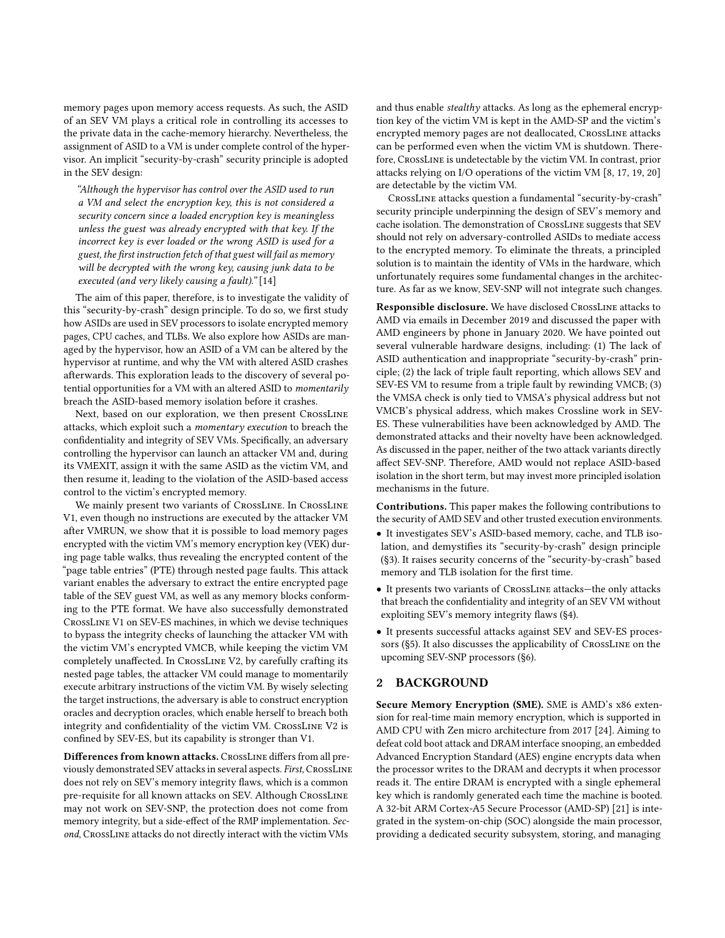memory pages upon memory access requests. As such, the ASID of an SEV VM plays a critical role in controlling its accesses to the private data in the cache-memory hierarchy. Nevertheless, the assignment of ASID to a VM is under complete control of the hypervisor. An implicit "security-by-crash" security principle is adopted in the SEV design:

"Although the hypervisor has control over the ASID used to run a VM and select the encryption key, this is not considered a security concern since a loaded encryption key is meaningless unless the guest was already encrypted with that key. If the incorrect key is ever loaded or the wrong ASID is used for a guest, the first instruction fetch of that guest will fail as memory will be decrypted with the wrong key, causing junk data to be executed (and very likely causing a fault)." [\[14\]](#page-13-2)

The aim of this paper, therefore, is to investigate the validity of this "security-by-crash" design principle. To do so, we first study how ASIDs are used in SEV processors to isolate encrypted memory pages, CPU caches, and TLBs. We also explore how ASIDs are managed by the hypervisor, how an ASID of a VM can be altered by the hypervisor at runtime, and why the VM with altered ASID crashes afterwards. This exploration leads to the discovery of several potential opportunities for a VM with an altered ASID to momentarily breach the ASID-based memory isolation before it crashes.

Next, based on our exploration, we then present CrossLine attacks, which exploit such a momentary execution to breach the confidentiality and integrity of SEV VMs. Specifically, an adversary controlling the hypervisor can launch an attacker VM and, during its VMEXIT, assign it with the same ASID as the victim VM, and then resume it, leading to the violation of the ASID-based access control to the victim's encrypted memory.

We mainly present two variants of CrossLine. In CrossLine V1, even though no instructions are executed by the attacker VM after VMRUN, we show that it is possible to load memory pages encrypted with the victim VM's memory encryption key (VEK) during page table walks, thus revealing the encrypted content of the "page table entries" (PTE) through nested page faults. This attack variant enables the adversary to extract the entire encrypted page table of the SEV guest VM, as well as any memory blocks conforming to the PTE format. We have also successfully demonstrated CrossLine V1 on SEV-ES machines, in which we devise techniques to bypass the integrity checks of launching the attacker VM with the victim VM's encrypted VMCB, while keeping the victim VM completely unaffected. In CrossLine V2, by carefully crafting its nested page tables, the attacker VM could manage to momentarily execute arbitrary instructions of the victim VM. By wisely selecting the target instructions, the adversary is able to construct encryption oracles and decryption oracles, which enable herself to breach both integrity and confidentiality of the victim VM. CrossLine V2 is confined by SEV-ES, but its capability is stronger than V1.

Differences from known attacks. CrossLine differs from all previously demonstrated SEV attacks in several aspects. First, CrossLine does not rely on SEV's memory integrity flaws, which is a common pre-requisite for all known attacks on SEV. Although CrossLine may not work on SEV-SNP, the protection does not come from memory integrity, but a side-effect of the RMP implementation. Second, CrossLine attacks do not directly interact with the victim VMs

and thus enable stealthy attacks. As long as the ephemeral encryption key of the victim VM is kept in the AMD-SP and the victim's encrypted memory pages are not deallocated, CrossLine attacks can be performed even when the victim VM is shutdown. Therefore, CrossLine is undetectable by the victim VM. In contrast, prior attacks relying on I/O operations of the victim VM [\[8,](#page-12-2) [17,](#page-13-4) [19,](#page-13-5) [20\]](#page-13-6) are detectable by the victim VM.

CrossLine attacks question a fundamental "security-by-crash" security principle underpinning the design of SEV's memory and cache isolation. The demonstration of CrossLine suggests that SEV should not rely on adversary-controlled ASIDs to mediate access to the encrypted memory. To eliminate the threats, a principled solution is to maintain the identity of VMs in the hardware, which unfortunately requires some fundamental changes in the architecture. As far as we know, SEV-SNP will not integrate such changes.

Responsible disclosure. We have disclosed CrossLine attacks to AMD via emails in December 2019 and discussed the paper with AMD engineers by phone in January 2020. We have pointed out several vulnerable hardware designs, including: (1) The lack of ASID authentication and inappropriate "security-by-crash" principle; (2) the lack of triple fault reporting, which allows SEV and SEV-ES VM to resume from a triple fault by rewinding VMCB; (3) the VMSA check is only tied to VMSA's physical address but not VMCB's physical address, which makes Crossline work in SEV-ES. These vulnerabilities have been acknowledged by AMD. The demonstrated attacks and their novelty have been acknowledged. As discussed in the paper, neither of the two attack variants directly affect SEV-SNP. Therefore, AMD would not replace ASID-based isolation in the short term, but may invest more principled isolation mechanisms in the future.

Contributions. This paper makes the following contributions to the security of AMD SEV and other trusted execution environments.

- It investigates SEV's ASID-based memory, cache, and TLB isolation, and demystifies its "security-by-crash" design principle ([§3\)](#page-2-0). It raises security concerns of the "security-by-crash" based memory and TLB isolation for the first time.
- It presents two variants of CrossLine attacks—the only attacks that breach the confidentiality and integrity of an SEV VM without exploiting SEV's memory integrity flaws ([§4\)](#page-4-0).
- It presents successful attacks against SEV and SEV-ES processors ([§5\)](#page-8-0). It also discusses the applicability of CrossLine on the upcoming SEV-SNP processors ([§6\)](#page-10-0).

# 2 BACKGROUND

Secure Memory Encryption (SME). SME is AMD's x86 extension for real-time main memory encryption, which is supported in AMD CPU with Zen micro architecture from 2017 [\[24\]](#page-13-8). Aiming to defeat cold boot attack and DRAM interface snooping, an embedded Advanced Encryption Standard (AES) engine encrypts data when the processor writes to the DRAM and decrypts it when processor reads it. The entire DRAM is encrypted with a single ephemeral key which is randomly generated each time the machine is booted. A 32-bit ARM Cortex-A5 Secure Processor (AMD-SP) [\[21\]](#page-13-9) is integrated in the system-on-chip (SOC) alongside the main processor, providing a dedicated security subsystem, storing, and managing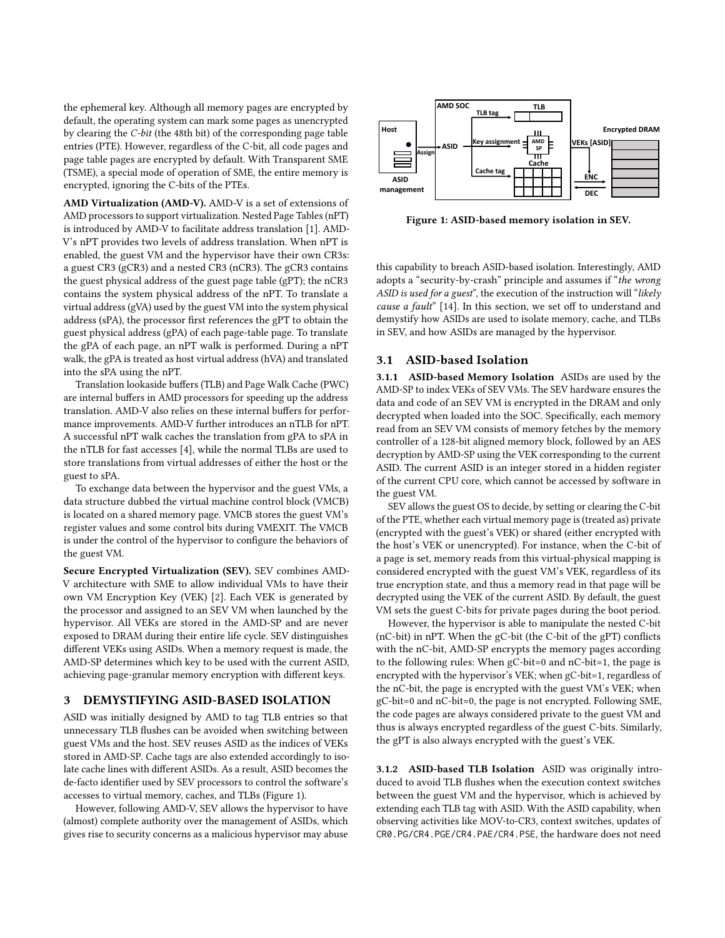the ephemeral key. Although all memory pages are encrypted by default, the operating system can mark some pages as unencrypted by clearing the C-bit (the 48th bit) of the corresponding page table entries (PTE). However, regardless of the C-bit, all code pages and page table pages are encrypted by default. With Transparent SME (TSME), a special mode of operation of SME, the entire memory is encrypted, ignoring the C-bits of the PTEs.

AMD Virtualization (AMD-V). AMD-V is a set of extensions of AMD processors to support virtualization. Nested Page Tables (nPT) is introduced by AMD-V to facilitate address translation [\[1\]](#page-12-3). AMD-V's nPT provides two levels of address translation. When nPT is enabled, the guest VM and the hypervisor have their own CR3s: a guest CR3 (gCR3) and a nested CR3 (nCR3). The gCR3 contains the guest physical address of the guest page table (gPT); the nCR3 contains the system physical address of the nPT. To translate a virtual address (gVA) used by the guest VM into the system physical address (sPA), the processor first references the gPT to obtain the guest physical address (gPA) of each page-table page. To translate the gPA of each page, an nPT walk is performed. During a nPT walk, the gPA is treated as host virtual address (hVA) and translated into the sPA using the nPT.

Translation lookaside buffers (TLB) and Page Walk Cache (PWC) are internal buffers in AMD processors for speeding up the address translation. AMD-V also relies on these internal buffers for performance improvements. AMD-V further introduces an nTLB for nPT. A successful nPT walk caches the translation from gPA to sPA in the nTLB for fast accesses [\[4\]](#page-12-0), while the normal TLBs are used to store translations from virtual addresses of either the host or the guest to sPA.

To exchange data between the hypervisor and the guest VMs, a data structure dubbed the virtual machine control block (VMCB) is located on a shared memory page. VMCB stores the guest VM's register values and some control bits during VMEXIT. The VMCB is under the control of the hypervisor to configure the behaviors of the guest VM.

Secure Encrypted Virtualization (SEV). SEV combines AMD-V architecture with SME to allow individual VMs to have their own VM Encryption Key (VEK) [\[2\]](#page-12-4). Each VEK is generated by the processor and assigned to an SEV VM when launched by the hypervisor. All VEKs are stored in the AMD-SP and are never exposed to DRAM during their entire life cycle. SEV distinguishes different VEKs using ASIDs. When a memory request is made, the AMD-SP determines which key to be used with the current ASID, achieving page-granular memory encryption with different keys.

#### <span id="page-2-0"></span>3 DEMYSTIFYING ASID-BASED ISOLATION

ASID was initially designed by AMD to tag TLB entries so that unnecessary TLB flushes can be avoided when switching between guest VMs and the host. SEV reuses ASID as the indices of VEKs stored in AMD-SP. Cache tags are also extended accordingly to isolate cache lines with different ASIDs. As a result, ASID becomes the de-facto identifier used by SEV processors to control the software's accesses to virtual memory, caches, and TLBs (Figure [1\)](#page-2-1).

However, following AMD-V, SEV allows the hypervisor to have (almost) complete authority over the management of ASIDs, which gives rise to security concerns as a malicious hypervisor may abuse

<span id="page-2-1"></span>

Figure 1: ASID-based memory isolation in SEV.

this capability to breach ASID-based isolation. Interestingly, AMD adopts a "security-by-crash" principle and assumes if "the wrong ASID is used for a guest", the execution of the instruction will "likely cause a fault" [\[14\]](#page-13-2). In this section, we set off to understand and demystify how ASIDs are used to isolate memory, cache, and TLBs in SEV, and how ASIDs are managed by the hypervisor.

# 3.1 ASID-based Isolation

3.1.1 ASID-based Memory Isolation ASIDs are used by the AMD-SP to index VEKs of SEV VMs. The SEV hardware ensures the data and code of an SEV VM is encrypted in the DRAM and only decrypted when loaded into the SOC. Specifically, each memory read from an SEV VM consists of memory fetches by the memory controller of a 128-bit aligned memory block, followed by an AES decryption by AMD-SP using the VEK corresponding to the current ASID. The current ASID is an integer stored in a hidden register of the current CPU core, which cannot be accessed by software in the guest VM.

SEV allows the guest OS to decide, by setting or clearing the C-bit of the PTE, whether each virtual memory page is (treated as) private (encrypted with the guest's VEK) or shared (either encrypted with the host's VEK or unencrypted). For instance, when the C-bit of a page is set, memory reads from this virtual-physical mapping is considered encrypted with the guest VM's VEK, regardless of its true encryption state, and thus a memory read in that page will be decrypted using the VEK of the current ASID. By default, the guest VM sets the guest C-bits for private pages during the boot period.

However, the hypervisor is able to manipulate the nested C-bit (nC-bit) in nPT. When the gC-bit (the C-bit of the gPT) conflicts with the nC-bit, AMD-SP encrypts the memory pages according to the following rules: When gC-bit=0 and nC-bit=1, the page is encrypted with the hypervisor's VEK; when gC-bit=1, regardless of the nC-bit, the page is encrypted with the guest VM's VEK; when gC-bit=0 and nC-bit=0, the page is not encrypted. Following SME, the code pages are always considered private to the guest VM and thus is always encrypted regardless of the guest C-bits. Similarly, the gPT is also always encrypted with the guest's VEK.

3.1.2 ASID-based TLB Isolation ASID was originally introduced to avoid TLB flushes when the execution context switches between the guest VM and the hypervisor, which is achieved by extending each TLB tag with ASID. With the ASID capability, when observing activities like MOV-to-CR3, context switches, updates of CR0.PG/CR4.PGE/CR4.PAE/CR4.PSE, the hardware does not need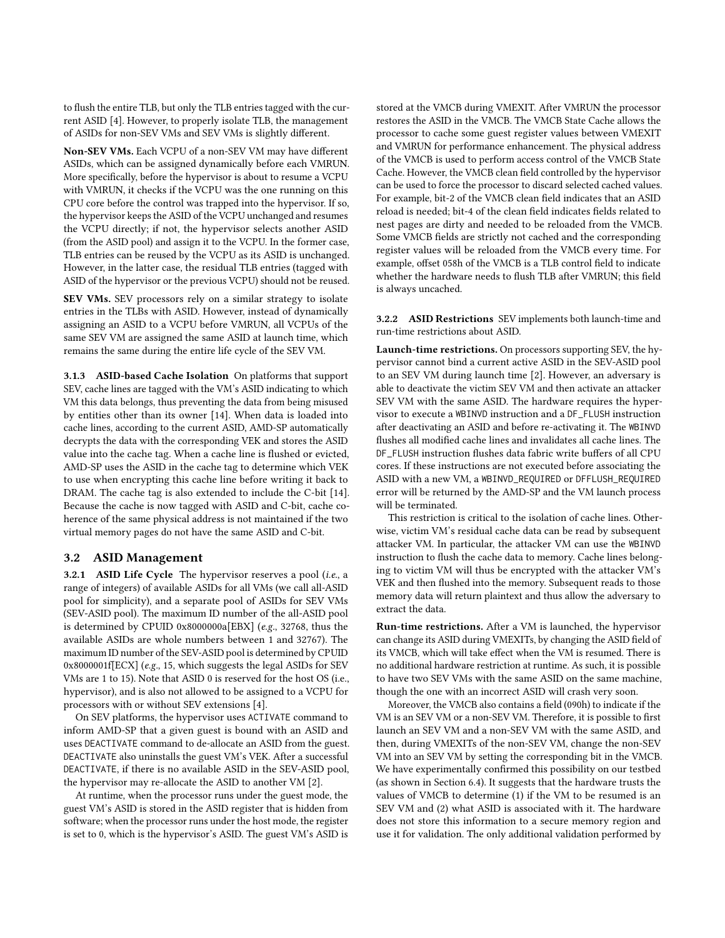to flush the entire TLB, but only the TLB entries tagged with the current ASID [\[4\]](#page-12-0). However, to properly isolate TLB, the management of ASIDs for non-SEV VMs and SEV VMs is slightly different.

Non-SEV VMs. Each VCPU of a non-SEV VM may have different ASIDs, which can be assigned dynamically before each VMRUN. More specifically, before the hypervisor is about to resume a VCPU with VMRUN, it checks if the VCPU was the one running on this CPU core before the control was trapped into the hypervisor. If so, the hypervisor keeps the ASID of the VCPU unchanged and resumes the VCPU directly; if not, the hypervisor selects another ASID (from the ASID pool) and assign it to the VCPU. In the former case, TLB entries can be reused by the VCPU as its ASID is unchanged. However, in the latter case, the residual TLB entries (tagged with ASID of the hypervisor or the previous VCPU) should not be reused.

SEV VMs. SEV processors rely on a similar strategy to isolate entries in the TLBs with ASID. However, instead of dynamically assigning an ASID to a VCPU before VMRUN, all VCPUs of the same SEV VM are assigned the same ASID at launch time, which remains the same during the entire life cycle of the SEV VM.

3.1.3 ASID-based Cache Isolation On platforms that support SEV, cache lines are tagged with the VM's ASID indicating to which VM this data belongs, thus preventing the data from being misused by entities other than its owner [\[14\]](#page-13-2). When data is loaded into cache lines, according to the current ASID, AMD-SP automatically decrypts the data with the corresponding VEK and stores the ASID value into the cache tag. When a cache line is flushed or evicted, AMD-SP uses the ASID in the cache tag to determine which VEK to use when encrypting this cache line before writing it back to DRAM. The cache tag is also extended to include the C-bit [\[14\]](#page-13-2). Because the cache is now tagged with ASID and C-bit, cache coherence of the same physical address is not maintained if the two virtual memory pages do not have the same ASID and C-bit.

### 3.2 ASID Management

3.2.1 ASID Life Cycle The hypervisor reserves a pool (i.e., a range of integers) of available ASIDs for all VMs (we call all-ASID pool for simplicity), and a separate pool of ASIDs for SEV VMs (SEV-ASID pool). The maximum ID number of the all-ASID pool is determined by CPUID 0x8000000a[EBX] (e.g., 32768, thus the available ASIDs are whole numbers between 1 and 32767). The maximum ID number of the SEV-ASID pool is determined by CPUID 0x8000001f[ECX] (e.g., 15, which suggests the legal ASIDs for SEV VMs are 1 to 15). Note that ASID 0 is reserved for the host OS (i.e., hypervisor), and is also not allowed to be assigned to a VCPU for processors with or without SEV extensions [\[4\]](#page-12-0).

On SEV platforms, the hypervisor uses ACTIVATE command to inform AMD-SP that a given guest is bound with an ASID and uses DEACTIVATE command to de-allocate an ASID from the guest. DEACTIVATE also uninstalls the guest VM's VEK. After a successful DEACTIVATE, if there is no available ASID in the SEV-ASID pool, the hypervisor may re-allocate the ASID to another VM [\[2\]](#page-12-4).

At runtime, when the processor runs under the guest mode, the guest VM's ASID is stored in the ASID register that is hidden from software; when the processor runs under the host mode, the register is set to 0, which is the hypervisor's ASID. The guest VM's ASID is stored at the VMCB during VMEXIT. After VMRUN the processor restores the ASID in the VMCB. The VMCB State Cache allows the processor to cache some guest register values between VMEXIT and VMRUN for performance enhancement. The physical address of the VMCB is used to perform access control of the VMCB State Cache. However, the VMCB clean field controlled by the hypervisor can be used to force the processor to discard selected cached values. For example, bit-2 of the VMCB clean field indicates that an ASID reload is needed; bit-4 of the clean field indicates fields related to nest pages are dirty and needed to be reloaded from the VMCB. Some VMCB fields are strictly not cached and the corresponding register values will be reloaded from the VMCB every time. For example, offset 058h of the VMCB is a TLB control field to indicate whether the hardware needs to flush TLB after VMRUN; this field is always uncached.

3.2.2 ASID Restrictions SEV implements both launch-time and run-time restrictions about ASID.

Launch-time restrictions. On processors supporting SEV, the hypervisor cannot bind a current active ASID in the SEV-ASID pool to an SEV VM during launch time [\[2\]](#page-12-4). However, an adversary is able to deactivate the victim SEV VM and then activate an attacker SEV VM with the same ASID. The hardware requires the hypervisor to execute a WBINVD instruction and a DF\_FLUSH instruction after deactivating an ASID and before re-activating it. The WBINVD flushes all modified cache lines and invalidates all cache lines. The DF\_FLUSH instruction flushes data fabric write buffers of all CPU cores. If these instructions are not executed before associating the ASID with a new VM, a WBINVD\_REQUIRED or DFFLUSH\_REQUIRED error will be returned by the AMD-SP and the VM launch process will be terminated.

This restriction is critical to the isolation of cache lines. Otherwise, victim VM's residual cache data can be read by subsequent attacker VM. In particular, the attacker VM can use the WBINVD instruction to flush the cache data to memory. Cache lines belonging to victim VM will thus be encrypted with the attacker VM's VEK and then flushed into the memory. Subsequent reads to those memory data will return plaintext and thus allow the adversary to extract the data.

Run-time restrictions. After a VM is launched, the hypervisor can change its ASID during VMEXITs, by changing the ASID field of its VMCB, which will take effect when the VM is resumed. There is no additional hardware restriction at runtime. As such, it is possible to have two SEV VMs with the same ASID on the same machine, though the one with an incorrect ASID will crash very soon.

Moreover, the VMCB also contains a field (090h) to indicate if the VM is an SEV VM or a non-SEV VM. Therefore, it is possible to first launch an SEV VM and a non-SEV VM with the same ASID, and then, during VMEXITs of the non-SEV VM, change the non-SEV VM into an SEV VM by setting the corresponding bit in the VMCB. We have experimentally confirmed this possibility on our testbed (as shown in Section [6.4\)](#page-11-0). It suggests that the hardware trusts the values of VMCB to determine (1) if the VM to be resumed is an SEV VM and (2) what ASID is associated with it. The hardware does not store this information to a secure memory region and use it for validation. The only additional validation performed by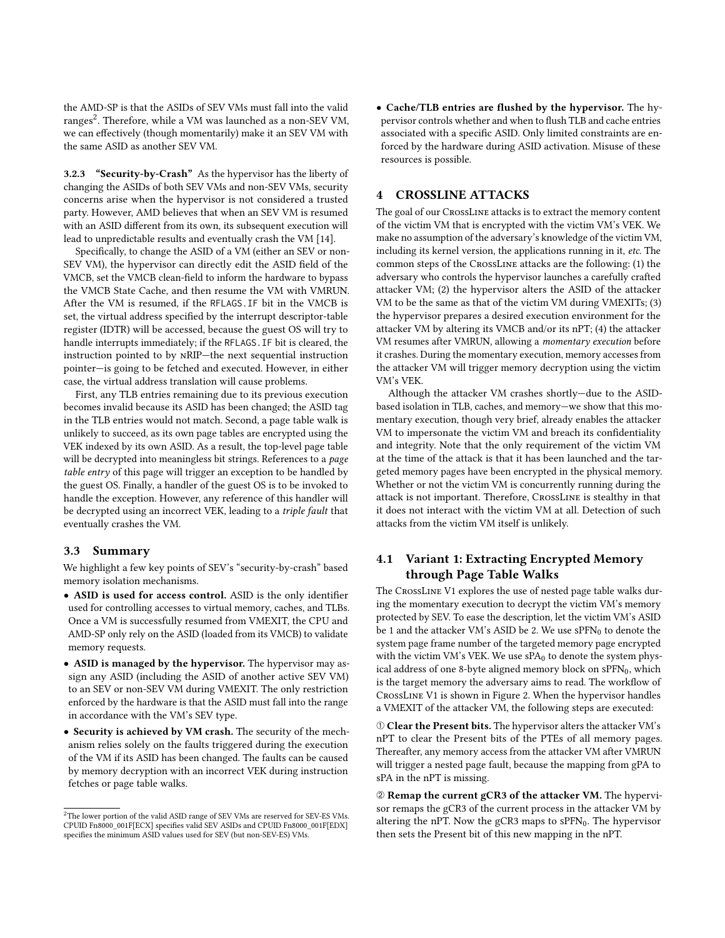the AMD-SP is that the ASIDs of SEV VMs must fall into the valid ranges<sup>[2](#page-4-1)</sup>. Therefore, while a VM was launched as a non-SEV VM, we can effectively (though momentarily) make it an SEV VM with the same ASID as another SEV VM.

3.2.3 "Security-by-Crash" As the hypervisor has the liberty of changing the ASIDs of both SEV VMs and non-SEV VMs, security concerns arise when the hypervisor is not considered a trusted party. However, AMD believes that when an SEV VM is resumed with an ASID different from its own, its subsequent execution will lead to unpredictable results and eventually crash the VM [\[14\]](#page-13-2).

Specifically, to change the ASID of a VM (either an SEV or non-SEV VM), the hypervisor can directly edit the ASID field of the VMCB, set the VMCB clean-field to inform the hardware to bypass the VMCB State Cache, and then resume the VM with VMRUN. After the VM is resumed, if the RFLAGS.IF bit in the VMCB is set, the virtual address specified by the interrupt descriptor-table register (IDTR) will be accessed, because the guest OS will try to handle interrupts immediately; if the RFLAGS.IF bit is cleared, the instruction pointed to by nRIP—the next sequential instruction pointer—is going to be fetched and executed. However, in either case, the virtual address translation will cause problems.

First, any TLB entries remaining due to its previous execution becomes invalid because its ASID has been changed; the ASID tag in the TLB entries would not match. Second, a page table walk is unlikely to succeed, as its own page tables are encrypted using the VEK indexed by its own ASID. As a result, the top-level page table will be decrypted into meaningless bit strings. References to a *page* table entry of this page will trigger an exception to be handled by the guest OS. Finally, a handler of the guest OS is to be invoked to handle the exception. However, any reference of this handler will be decrypted using an incorrect VEK, leading to a triple fault that eventually crashes the VM.

## 3.3 Summary

We highlight a few key points of SEV's "security-by-crash" based memory isolation mechanisms.

- ASID is used for access control. ASID is the only identifier used for controlling accesses to virtual memory, caches, and TLBs. Once a VM is successfully resumed from VMEXIT, the CPU and AMD-SP only rely on the ASID (loaded from its VMCB) to validate memory requests.
- ASID is managed by the hypervisor. The hypervisor may assign any ASID (including the ASID of another active SEV VM) to an SEV or non-SEV VM during VMEXIT. The only restriction enforced by the hardware is that the ASID must fall into the range in accordance with the VM's SEV type.
- Security is achieved by VM crash. The security of the mechanism relies solely on the faults triggered during the execution of the VM if its ASID has been changed. The faults can be caused by memory decryption with an incorrect VEK during instruction fetches or page table walks.

• Cache/TLB entries are flushed by the hypervisor. The hypervisor controls whether and when to flush TLB and cache entries associated with a specific ASID. Only limited constraints are enforced by the hardware during ASID activation. Misuse of these resources is possible.

# <span id="page-4-0"></span>4 CROSSLINE ATTACKS

The goal of our CrossLine attacks is to extract the memory content of the victim VM that is encrypted with the victim VM's VEK. We make no assumption of the adversary's knowledge of the victim VM, including its kernel version, the applications running in it, etc. The common steps of the CrossLine attacks are the following: (1) the adversary who controls the hypervisor launches a carefully crafted attacker VM; (2) the hypervisor alters the ASID of the attacker VM to be the same as that of the victim VM during VMEXITs; (3) the hypervisor prepares a desired execution environment for the attacker VM by altering its VMCB and/or its nPT; (4) the attacker VM resumes after VMRUN, allowing a momentary execution before it crashes. During the momentary execution, memory accesses from the attacker VM will trigger memory decryption using the victim VM's VEK.

Although the attacker VM crashes shortly—due to the ASIDbased isolation in TLB, caches, and memory—we show that this momentary execution, though very brief, already enables the attacker VM to impersonate the victim VM and breach its confidentiality and integrity. Note that the only requirement of the victim VM at the time of the attack is that it has been launched and the targeted memory pages have been encrypted in the physical memory. Whether or not the victim VM is concurrently running during the attack is not important. Therefore, CrossLine is stealthy in that it does not interact with the victim VM at all. Detection of such attacks from the victim VM itself is unlikely.

# 4.1 Variant 1: Extracting Encrypted Memory through Page Table Walks

The CrossLine V1 explores the use of nested page table walks during the momentary execution to decrypt the victim VM's memory protected by SEV. To ease the description, let the victim VM's ASID be 1 and the attacker VM's ASID be 2. We use  $sPFN<sub>0</sub>$  to denote the system page frame number of the targeted memory page encrypted with the victim VM's VEK. We use  $sPA<sub>0</sub>$  to denote the system physical address of one 8-byte aligned memory block on  $\text{sPFN}_0$ , which is the target memory the adversary aims to read. The workflow of CrossLine V1 is shown in Figure [2.](#page-5-0) When the hypervisor handles a VMEXIT of the attacker VM, the following steps are executed:

➀ Clear the Present bits. The hypervisor alters the attacker VM's nPT to clear the Present bits of the PTEs of all memory pages. Thereafter, any memory access from the attacker VM after VMRUN will trigger a nested page fault, because the mapping from gPA to sPA in the nPT is missing.

➁ Remap the current gCR3 of the attacker VM. The hypervisor remaps the gCR3 of the current process in the attacker VM by altering the nPT. Now the gCR3 maps to  $SPFN<sub>0</sub>$ . The hypervisor then sets the Present bit of this new mapping in the nPT.

<span id="page-4-1"></span> $^2\mathrm{The}$  lower portion of the valid ASID range of SEV VMs are reserved for SEV-ES VMs. CPUID Fn8000\_001F[ECX] specifies valid SEV ASIDs and CPUID Fn8000\_001F[EDX] specifies the minimum ASID values used for SEV (but non-SEV-ES) VMs.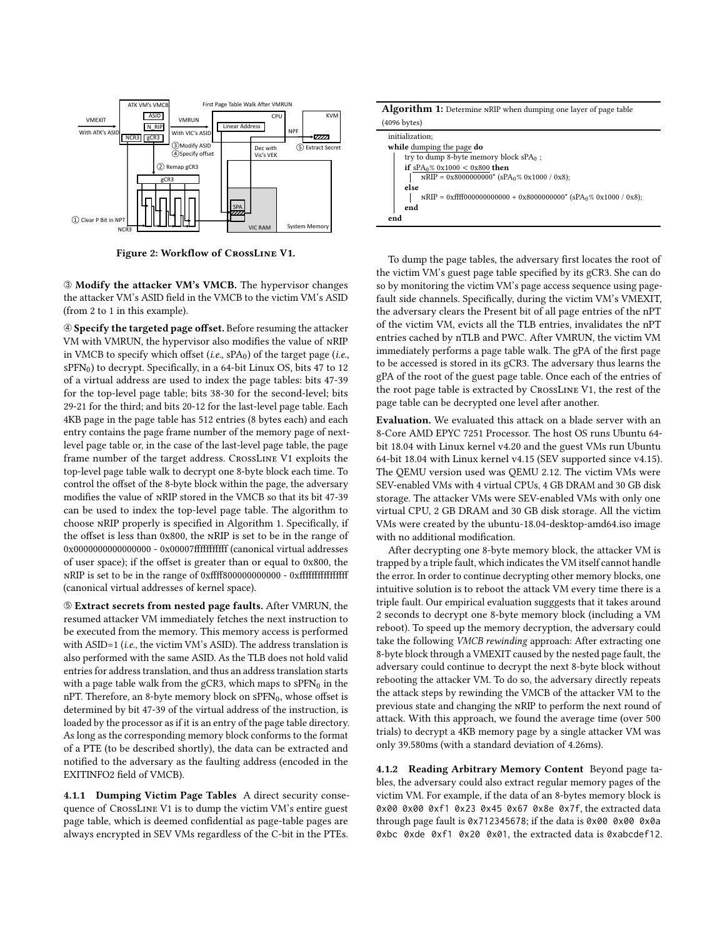<span id="page-5-0"></span>

Figure 2: Workflow of CrossLine V1.

➂ Modify the attacker VM's VMCB. The hypervisor changes the attacker VM's ASID field in the VMCB to the victim VM's ASID (from 2 to 1 in this example).

➃ Specify the targeted page offset. Before resuming the attacker VM with VMRUN, the hypervisor also modifies the value of nRIP in VMCB to specify which offset (i.e.,  $sPA<sub>0</sub>$ ) of the target page (i.e.,  $SPFN<sub>0</sub>$ ) to decrypt. Specifically, in a 64-bit Linux OS, bits 47 to 12 of a virtual address are used to index the page tables: bits 47-39 for the top-level page table; bits 38-30 for the second-level; bits 29-21 for the third; and bits 20-12 for the last-level page table. Each 4KB page in the page table has 512 entries (8 bytes each) and each entry contains the page frame number of the memory page of nextlevel page table or, in the case of the last-level page table, the page frame number of the target address. CrossLine V1 exploits the top-level page table walk to decrypt one 8-byte block each time. To control the offset of the 8-byte block within the page, the adversary modifies the value of nRIP stored in the VMCB so that its bit 47-39 can be used to index the top-level page table. The algorithm to choose nRIP properly is specified in Algorithm [1.](#page-5-1) Specifically, if the offset is less than 0x800, the nRIP is set to be in the range of 0x0000000000000000 - 0x00007fffffffffff (canonical virtual addresses of user space); if the offset is greater than or equal to 0x800, the nRIP is set to be in the range of 0xffff800000000000 - 0xffffffffffffffff (canonical virtual addresses of kernel space).

➄ Extract secrets from nested page faults. After VMRUN, the resumed attacker VM immediately fetches the next instruction to be executed from the memory. This memory access is performed with ASID=1 (i.e., the victim VM's ASID). The address translation is also performed with the same ASID. As the TLB does not hold valid entries for address translation, and thus an address translation starts with a page table walk from the gCR3, which maps to  $SPFN<sub>0</sub>$  in the nPT. Therefore, an 8-byte memory block on  $\text{sPFN}_0$ , whose offset is determined by bit 47-39 of the virtual address of the instruction, is loaded by the processor as if it is an entry of the page table directory. As long as the corresponding memory block conforms to the format of a PTE (to be described shortly), the data can be extracted and notified to the adversary as the faulting address (encoded in the EXITINFO2 field of VMCB).

4.1.1 Dumping Victim Page Tables A direct security consequence of CrossLine V1 is to dump the victim VM's entire guest page table, which is deemed confidential as page-table pages are always encrypted in SEV VMs regardless of the C-bit in the PTEs.

| <b>Algorithm 1:</b> Determine NRIP when dumping one layer of page table                                                  |  |  |  |  |  |  |  |
|--------------------------------------------------------------------------------------------------------------------------|--|--|--|--|--|--|--|
| $(4096$ bytes)                                                                                                           |  |  |  |  |  |  |  |
| initialization:                                                                                                          |  |  |  |  |  |  |  |
| while dumping the page do                                                                                                |  |  |  |  |  |  |  |
| try to dump 8-byte memory block $sPA_0$ ;                                                                                |  |  |  |  |  |  |  |
| if sPA <sub>0</sub> % 0x1000 < 0x800 then                                                                                |  |  |  |  |  |  |  |
| $NRIP = 0x8000000000^* (sPA_0\% 0x1000 / 0x8);$                                                                          |  |  |  |  |  |  |  |
| else                                                                                                                     |  |  |  |  |  |  |  |
| $\text{NRIP} = 0 \text{xffff} 000000000000 + 0 \text{x} 8000000000^* \text{ (sPA}_0\% 0 \text{x} 1000 / 0 \text{x} 8)$ ; |  |  |  |  |  |  |  |
| end                                                                                                                      |  |  |  |  |  |  |  |
| end                                                                                                                      |  |  |  |  |  |  |  |

<span id="page-5-1"></span>To dump the page tables, the adversary first locates the root of the victim VM's guest page table specified by its gCR3. She can do so by monitoring the victim VM's page access sequence using pagefault side channels. Specifically, during the victim VM's VMEXIT, the adversary clears the Present bit of all page entries of the nPT of the victim VM, evicts all the TLB entries, invalidates the nPT entries cached by nTLB and PWC. After VMRUN, the victim VM immediately performs a page table walk. The gPA of the first page to be accessed is stored in its gCR3. The adversary thus learns the gPA of the root of the guest page table. Once each of the entries of the root page table is extracted by CrossLine V1, the rest of the page table can be decrypted one level after another.

Evaluation. We evaluated this attack on a blade server with an 8-Core AMD EPYC 7251 Processor. The host OS runs Ubuntu 64 bit 18.04 with Linux kernel v4.20 and the guest VMs run Ubuntu 64-bit 18.04 with Linux kernel v4.15 (SEV supported since v4.15). The QEMU version used was QEMU 2.12. The victim VMs were SEV-enabled VMs with 4 virtual CPUs, 4 GB DRAM and 30 GB disk storage. The attacker VMs were SEV-enabled VMs with only one virtual CPU, 2 GB DRAM and 30 GB disk storage. All the victim VMs were created by the ubuntu-18.04-desktop-amd64.iso image with no additional modification.

After decrypting one 8-byte memory block, the attacker VM is trapped by a triple fault, which indicates the VM itself cannot handle the error. In order to continue decrypting other memory blocks, one intuitive solution is to reboot the attack VM every time there is a triple fault. Our empirical evaluation sugggests that it takes around 2 seconds to decrypt one 8-byte memory block (including a VM reboot). To speed up the memory decryption, the adversary could take the following VMCB rewinding approach: After extracting one 8-byte block through a VMEXIT caused by the nested page fault, the adversary could continue to decrypt the next 8-byte block without rebooting the attacker VM. To do so, the adversary directly repeats the attack steps by rewinding the VMCB of the attacker VM to the previous state and changing the nRIP to perform the next round of attack. With this approach, we found the average time (over 500 trials) to decrypt a 4KB memory page by a single attacker VM was only 39.580ms (with a standard deviation of 4.26ms).

4.1.2 Reading Arbitrary Memory Content Beyond page tables, the adversary could also extract regular memory pages of the victim VM. For example, if the data of an 8-bytes memory block is 0x00 0x00 0xf1 0x23 0x45 0x67 0x8e 0x7f, the extracted data through page fault is 0x712345678; if the data is 0x00 0x00 0x0a 0xbc 0xde 0xf1 0x20 0x01, the extracted data is 0xabcdef12.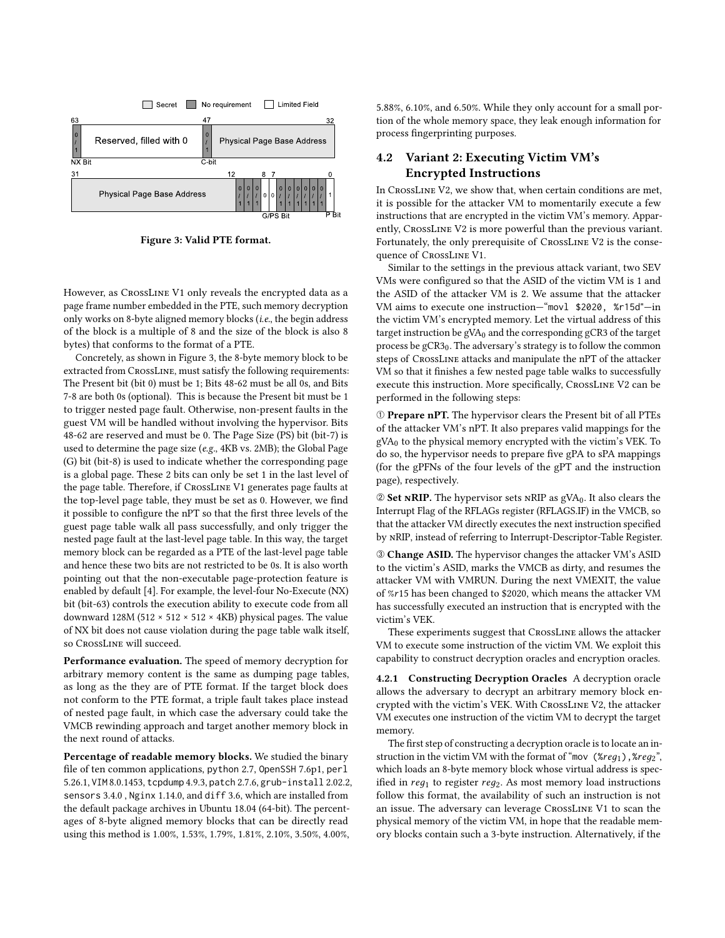<span id="page-6-0"></span>

Figure 3: Valid PTE format.

However, as CrossLine V1 only reveals the encrypted data as a page frame number embedded in the PTE, such memory decryption only works on 8-byte aligned memory blocks (i.e., the begin address of the block is a multiple of 8 and the size of the block is also 8 bytes) that conforms to the format of a PTE.

Concretely, as shown in Figure [3,](#page-6-0) the 8-byte memory block to be extracted from CrossLine, must satisfy the following requirements: The Present bit (bit 0) must be 1; Bits 48-62 must be all 0s, and Bits 7-8 are both 0s (optional). This is because the Present bit must be 1 to trigger nested page fault. Otherwise, non-present faults in the guest VM will be handled without involving the hypervisor. Bits 48-62 are reserved and must be 0. The Page Size (PS) bit (bit-7) is used to determine the page size (e.g., 4KB vs. 2MB); the Global Page (G) bit (bit-8) is used to indicate whether the corresponding page is a global page. These 2 bits can only be set 1 in the last level of the page table. Therefore, if CrossLine V1 generates page faults at the top-level page table, they must be set as 0. However, we find it possible to configure the nPT so that the first three levels of the guest page table walk all pass successfully, and only trigger the nested page fault at the last-level page table. In this way, the target memory block can be regarded as a PTE of the last-level page table and hence these two bits are not restricted to be 0s. It is also worth pointing out that the non-executable page-protection feature is enabled by default [\[4\]](#page-12-0). For example, the level-four No-Execute (NX) bit (bit-63) controls the execution ability to execute code from all downward 128M (512 × 512 × 512 × 4KB) physical pages. The value of NX bit does not cause violation during the page table walk itself, so CrossLine will succeed.

Performance evaluation. The speed of memory decryption for arbitrary memory content is the same as dumping page tables, as long as the they are of PTE format. If the target block does not conform to the PTE format, a triple fault takes place instead of nested page fault, in which case the adversary could take the VMCB rewinding approach and target another memory block in the next round of attacks.

Percentage of readable memory blocks. We studied the binary file of ten common applications, python 2.7, OpenSSH 7.6p1, perl 5.26.1, VIM 8.0.1453, tcpdump 4.9.3, patch 2.7.6, grub-install 2.02.2, sensors 3.4.0 , Nginx 1.14.0, and diff 3.6, which are installed from the default package archives in Ubuntu 18.04 (64-bit). The percentages of 8-byte aligned memory blocks that can be directly read using this method is 1.00%, 1.53%, 1.79%, 1.81%, 2.10%, 3.50%, 4.00%,

5.88%, 6.10%, and 6.50%. While they only account for a small portion of the whole memory space, they leak enough information for process fingerprinting purposes.

# 4.2 Variant 2: Executing Victim VM's Encrypted Instructions

In CrossLine V2, we show that, when certain conditions are met, it is possible for the attacker VM to momentarily execute a few instructions that are encrypted in the victim VM's memory. Apparently, CrossLine V2 is more powerful than the previous variant. Fortunately, the only prerequisite of CrossLine V2 is the consequence of CrossLine V1.

Similar to the settings in the previous attack variant, two SEV VMs were configured so that the ASID of the victim VM is 1 and the ASID of the attacker VM is 2. We assume that the attacker VM aims to execute one instruction—"movl \$2020, %r15d"—in the victim VM's encrypted memory. Let the virtual address of this target instruction be gVA<sub>0</sub> and the corresponding gCR3 of the target process be gCR30. The adversary's strategy is to follow the common steps of CrossLine attacks and manipulate the nPT of the attacker VM so that it finishes a few nested page table walks to successfully execute this instruction. More specifically, CrossLine V2 can be performed in the following steps:

➀ Prepare nPT. The hypervisor clears the Present bit of all PTEs of the attacker VM's nPT. It also prepares valid mappings for the gVA0 to the physical memory encrypted with the victim's VEK. To do so, the hypervisor needs to prepare five gPA to sPA mappings (for the gPFNs of the four levels of the gPT and the instruction page), respectively.

➁ Set nRIP. The hypervisor sets nRIP as gVA0. It also clears the Interrupt Flag of the RFLAGs register (RFLAGS.IF) in the VMCB, so that the attacker VM directly executes the next instruction specified by nRIP, instead of referring to Interrupt-Descriptor-Table Register.

➂ Change ASID. The hypervisor changes the attacker VM's ASID to the victim's ASID, marks the VMCB as dirty, and resumes the attacker VM with VMRUN. During the next VMEXIT, the value of %15 has been changed to \$2020, which means the attacker VM has successfully executed an instruction that is encrypted with the victim's VEK.

These experiments suggest that CrossLine allows the attacker VM to execute some instruction of the victim VM. We exploit this capability to construct decryption oracles and encryption oracles.

4.2.1 Constructing Decryption Oracles A decryption oracle allows the adversary to decrypt an arbitrary memory block encrypted with the victim's VEK. With CrossLine V2, the attacker VM executes one instruction of the victim VM to decrypt the target memory.

The first step of constructing a decryption oracle is to locate an instruction in the victim VM with the format of "mov  $(\mathscr{E}req_1)$ ,  $\mathscr{E}req_2$ ", which loads an 8-byte memory block whose virtual address is specified in  $reg_1$  to register  $reg_2$ . As most memory load instructions follow this format, the availability of such an instruction is not an issue. The adversary can leverage CrossLine V1 to scan the physical memory of the victim VM, in hope that the readable memory blocks contain such a 3-byte instruction. Alternatively, if the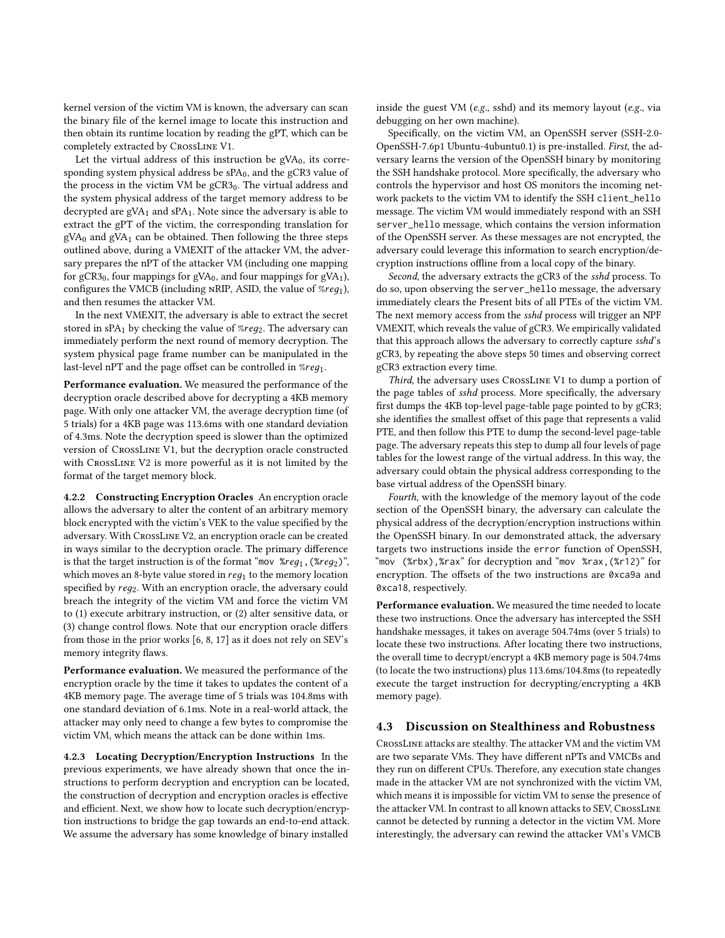kernel version of the victim VM is known, the adversary can scan the binary file of the kernel image to locate this instruction and then obtain its runtime location by reading the gPT, which can be completely extracted by CrossLine V1.

Let the virtual address of this instruction be  $gVA<sub>0</sub>$ , its corresponding system physical address be  $sPA<sub>0</sub>$ , and the gCR3 value of the process in the victim VM be  $gCR3<sub>0</sub>$ . The virtual address and the system physical address of the target memory address to be decrypted are  $gVA<sub>1</sub>$  and  $sPA<sub>1</sub>$ . Note since the adversary is able to extract the gPT of the victim, the corresponding translation for  $gVA<sub>0</sub>$  and  $gVA<sub>1</sub>$  can be obtained. Then following the three steps outlined above, during a VMEXIT of the attacker VM, the adversary prepares the nPT of the attacker VM (including one mapping for gCR3<sub>0</sub>, four mappings for gVA<sub>0</sub>, and four mappings for gVA<sub>1</sub>), configures the VMCB (including NRIP, ASID, the value of  $%req_1$ ), and then resumes the attacker VM.

In the next VMEXIT, the adversary is able to extract the secret stored in sPA<sub>1</sub> by checking the value of  $\mathcal{E}reg_2$ . The adversary can immediately perform the next round of memory decryption. The system physical page frame number can be manipulated in the last-level nPT and the page offset can be controlled in  $%req_{1}$ .

Performance evaluation. We measured the performance of the decryption oracle described above for decrypting a 4KB memory page. With only one attacker VM, the average decryption time (of 5 trials) for a 4KB page was 113.6ms with one standard deviation of 4.3ms. Note the decryption speed is slower than the optimized version of CrossLine V1, but the decryption oracle constructed with CrossLine V2 is more powerful as it is not limited by the format of the target memory block.

4.2.2 Constructing Encryption Oracles An encryption oracle allows the adversary to alter the content of an arbitrary memory block encrypted with the victim's VEK to the value specified by the adversary. With CrossLine V2, an encryption oracle can be created in ways similar to the decryption oracle. The primary difference is that the target instruction is of the format "mov  $\kappa_{req_1}$ , ( $\kappa_{req_2}$ )", which moves an 8-byte value stored in  $req_1$  to the memory location specified by  $req_2$ . With an encryption oracle, the adversary could breach the integrity of the victim VM and force the victim VM to (1) execute arbitrary instruction, or (2) alter sensitive data, or (3) change control flows. Note that our encryption oracle differs from those in the prior works [\[6,](#page-12-1) [8,](#page-12-2) [17\]](#page-13-4) as it does not rely on SEV's memory integrity flaws.

Performance evaluation. We measured the performance of the encryption oracle by the time it takes to updates the content of a 4KB memory page. The average time of 5 trials was 104.8ms with one standard deviation of 6.1ms. Note in a real-world attack, the attacker may only need to change a few bytes to compromise the victim VM, which means the attack can be done within 1ms.

4.2.3 Locating Decryption/Encryption Instructions In the previous experiments, we have already shown that once the instructions to perform decryption and encryption can be located, the construction of decryption and encryption oracles is effective and efficient. Next, we show how to locate such decryption/encryption instructions to bridge the gap towards an end-to-end attack. We assume the adversary has some knowledge of binary installed

inside the guest VM (e.g., sshd) and its memory layout (e.g., via debugging on her own machine).

Specifically, on the victim VM, an OpenSSH server (SSH-2.0- OpenSSH-7.6p1 Ubuntu-4ubuntu0.1) is pre-installed. First, the adversary learns the version of the OpenSSH binary by monitoring the SSH handshake protocol. More specifically, the adversary who controls the hypervisor and host OS monitors the incoming network packets to the victim VM to identify the SSH client\_hello message. The victim VM would immediately respond with an SSH server\_hello message, which contains the version information of the OpenSSH server. As these messages are not encrypted, the adversary could leverage this information to search encryption/decryption instructions offline from a local copy of the binary.

Second, the adversary extracts the gCR3 of the sshd process. To do so, upon observing the server\_hello message, the adversary immediately clears the Present bits of all PTEs of the victim VM. The next memory access from the sshd process will trigger an NPF VMEXIT, which reveals the value of gCR3. We empirically validated that this approach allows the adversary to correctly capture sshd's gCR3, by repeating the above steps 50 times and observing correct gCR3 extraction every time.

Third, the adversary uses CrossLine V1 to dump a portion of the page tables of sshd process. More specifically, the adversary first dumps the 4KB top-level page-table page pointed to by gCR3; she identifies the smallest offset of this page that represents a valid PTE, and then follow this PTE to dump the second-level page-table page. The adversary repeats this step to dump all four levels of page tables for the lowest range of the virtual address. In this way, the adversary could obtain the physical address corresponding to the base virtual address of the OpenSSH binary.

Fourth, with the knowledge of the memory layout of the code section of the OpenSSH binary, the adversary can calculate the physical address of the decryption/encryption instructions within the OpenSSH binary. In our demonstrated attack, the adversary targets two instructions inside the error function of OpenSSH, "mov (%rbx),%rax" for decryption and "mov %rax,(%r12)" for encryption. The offsets of the two instructions are 0xca9a and 0xca18, respectively.

Performance evaluation. We measured the time needed to locate these two instructions. Once the adversary has intercepted the SSH handshake messages, it takes on average 504.74ms (over 5 trials) to locate these two instructions. After locating there two instructions, the overall time to decrypt/encrypt a 4KB memory page is 504.74ms (to locate the two instructions) plus 113.6ms/104.8ms (to repeatedly execute the target instruction for decrypting/encrypting a 4KB memory page).

#### 4.3 Discussion on Stealthiness and Robustness

CrossLine attacks are stealthy. The attacker VM and the victim VM are two separate VMs. They have different nPTs and VMCBs and they run on different CPUs. Therefore, any execution state changes made in the attacker VM are not synchronized with the victim VM, which means it is impossible for victim VM to sense the presence of the attacker VM. In contrast to all known attacks to SEV, CrossLine cannot be detected by running a detector in the victim VM. More interestingly, the adversary can rewind the attacker VM's VMCB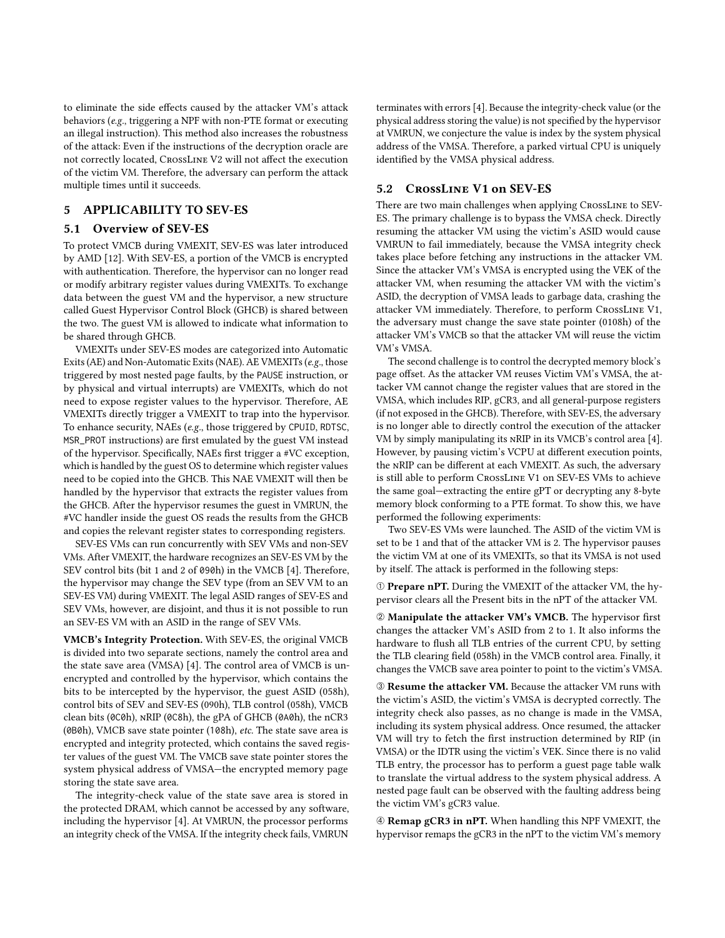to eliminate the side effects caused by the attacker VM's attack behaviors (e.g., triggering a NPF with non-PTE format or executing an illegal instruction). This method also increases the robustness of the attack: Even if the instructions of the decryption oracle are not correctly located, CrossLine V2 will not affect the execution of the victim VM. Therefore, the adversary can perform the attack multiple times until it succeeds.

### <span id="page-8-0"></span>5 APPLICABILITY TO SEV-ES

## 5.1 Overview of SEV-ES

To protect VMCB during VMEXIT, SEV-ES was later introduced by AMD [\[12\]](#page-13-10). With SEV-ES, a portion of the VMCB is encrypted with authentication. Therefore, the hypervisor can no longer read or modify arbitrary register values during VMEXITs. To exchange data between the guest VM and the hypervisor, a new structure called Guest Hypervisor Control Block (GHCB) is shared between the two. The guest VM is allowed to indicate what information to be shared through GHCB.

VMEXITs under SEV-ES modes are categorized into Automatic Exits (AE) and Non-Automatic Exits (NAE). AE VMEXITs (e.g., those triggered by most nested page faults, by the PAUSE instruction, or by physical and virtual interrupts) are VMEXITs, which do not need to expose register values to the hypervisor. Therefore, AE VMEXITs directly trigger a VMEXIT to trap into the hypervisor. To enhance security, NAEs (e.g., those triggered by CPUID, RDTSC, MSR\_PROT instructions) are first emulated by the guest VM instead of the hypervisor. Specifically, NAEs first trigger a #VC exception, which is handled by the guest OS to determine which register values need to be copied into the GHCB. This NAE VMEXIT will then be handled by the hypervisor that extracts the register values from the GHCB. After the hypervisor resumes the guest in VMRUN, the #VC handler inside the guest OS reads the results from the GHCB and copies the relevant register states to corresponding registers.

SEV-ES VMs can run concurrently with SEV VMs and non-SEV VMs. After VMEXIT, the hardware recognizes an SEV-ES VM by the SEV control bits (bit 1 and 2 of 090h) in the VMCB [\[4\]](#page-12-0). Therefore, the hypervisor may change the SEV type (from an SEV VM to an SEV-ES VM) during VMEXIT. The legal ASID ranges of SEV-ES and SEV VMs, however, are disjoint, and thus it is not possible to run an SEV-ES VM with an ASID in the range of SEV VMs.

VMCB's Integrity Protection. With SEV-ES, the original VMCB is divided into two separate sections, namely the control area and the state save area (VMSA) [\[4\]](#page-12-0). The control area of VMCB is unencrypted and controlled by the hypervisor, which contains the bits to be intercepted by the hypervisor, the guest ASID (058h), control bits of SEV and SEV-ES (090h), TLB control (058h), VMCB clean bits (0C0h), nRIP (0C8h), the gPA of GHCB (0A0h), the nCR3 (0B0h), VMCB save state pointer (108h), etc. The state save area is encrypted and integrity protected, which contains the saved register values of the guest VM. The VMCB save state pointer stores the system physical address of VMSA—the encrypted memory page storing the state save area.

The integrity-check value of the state save area is stored in the protected DRAM, which cannot be accessed by any software, including the hypervisor [\[4\]](#page-12-0). At VMRUN, the processor performs an integrity check of the VMSA. If the integrity check fails, VMRUN

terminates with errors [\[4\]](#page-12-0). Because the integrity-check value (or the physical address storing the value) is not specified by the hypervisor at VMRUN, we conjecture the value is index by the system physical address of the VMSA. Therefore, a parked virtual CPU is uniquely identified by the VMSA physical address.

# 5.2 CrossLine V1 on SEV-ES

There are two main challenges when applying CROSSLINE to SEV-ES. The primary challenge is to bypass the VMSA check. Directly resuming the attacker VM using the victim's ASID would cause VMRUN to fail immediately, because the VMSA integrity check takes place before fetching any instructions in the attacker VM. Since the attacker VM's VMSA is encrypted using the VEK of the attacker VM, when resuming the attacker VM with the victim's ASID, the decryption of VMSA leads to garbage data, crashing the attacker VM immediately. Therefore, to perform CrossLine V1, the adversary must change the save state pointer (0108h) of the attacker VM's VMCB so that the attacker VM will reuse the victim VM's VMSA.

The second challenge is to control the decrypted memory block's page offset. As the attacker VM reuses Victim VM's VMSA, the attacker VM cannot change the register values that are stored in the VMSA, which includes RIP, gCR3, and all general-purpose registers (if not exposed in the GHCB). Therefore, with SEV-ES, the adversary is no longer able to directly control the execution of the attacker VM by simply manipulating its nRIP in its VMCB's control area [\[4\]](#page-12-0). However, by pausing victim's VCPU at different execution points, the nRIP can be different at each VMEXIT. As such, the adversary is still able to perform CrossLine V1 on SEV-ES VMs to achieve the same goal—extracting the entire gPT or decrypting any 8-byte memory block conforming to a PTE format. To show this, we have performed the following experiments:

Two SEV-ES VMs were launched. The ASID of the victim VM is set to be 1 and that of the attacker VM is 2. The hypervisor pauses the victim VM at one of its VMEXITs, so that its VMSA is not used by itself. The attack is performed in the following steps:

➀ Prepare nPT. During the VMEXIT of the attacker VM, the hypervisor clears all the Present bits in the nPT of the attacker VM.

➁ Manipulate the attacker VM's VMCB. The hypervisor first changes the attacker VM's ASID from 2 to 1. It also informs the hardware to flush all TLB entries of the current CPU, by setting the TLB clearing field (058h) in the VMCB control area. Finally, it changes the VMCB save area pointer to point to the victim's VMSA.

➂ Resume the attacker VM. Because the attacker VM runs with the victim's ASID, the victim's VMSA is decrypted correctly. The integrity check also passes, as no change is made in the VMSA, including its system physical address. Once resumed, the attacker VM will try to fetch the first instruction determined by RIP (in VMSA) or the IDTR using the victim's VEK. Since there is no valid TLB entry, the processor has to perform a guest page table walk to translate the virtual address to the system physical address. A nested page fault can be observed with the faulting address being the victim VM's gCR3 value.

➃ Remap gCR3 in nPT. When handling this NPF VMEXIT, the hypervisor remaps the gCR3 in the nPT to the victim VM's memory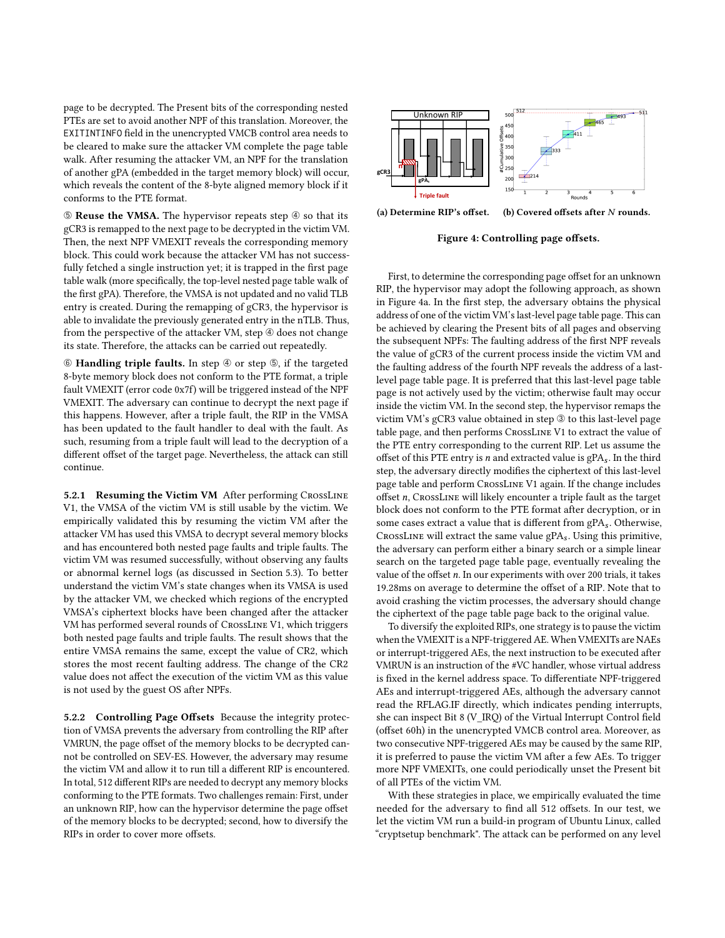page to be decrypted. The Present bits of the corresponding nested PTEs are set to avoid another NPF of this translation. Moreover, the EXITINTINFO field in the unencrypted VMCB control area needs to be cleared to make sure the attacker VM complete the page table walk. After resuming the attacker VM, an NPF for the translation of another gPA (embedded in the target memory block) will occur, which reveals the content of the 8-byte aligned memory block if it conforms to the PTE format.

➄ Reuse the VMSA. The hypervisor repeats step ➃ so that its gCR3 is remapped to the next page to be decrypted in the victim VM. Then, the next NPF VMEXIT reveals the corresponding memory block. This could work because the attacker VM has not successfully fetched a single instruction yet; it is trapped in the first page table walk (more specifically, the top-level nested page table walk of the first gPA). Therefore, the VMSA is not updated and no valid TLB entry is created. During the remapping of gCR3, the hypervisor is able to invalidate the previously generated entry in the nTLB. Thus, from the perspective of the attacker VM, step  $\circledast$  does not change its state. Therefore, the attacks can be carried out repeatedly.

➅ Handling triple faults. In step ➃ or step ➄, if the targeted 8-byte memory block does not conform to the PTE format, a triple fault VMEXIT (error code 0x7f) will be triggered instead of the NPF VMEXIT. The adversary can continue to decrypt the next page if this happens. However, after a triple fault, the RIP in the VMSA has been updated to the fault handler to deal with the fault. As such, resuming from a triple fault will lead to the decryption of a different offset of the target page. Nevertheless, the attack can still continue.

5.2.1 Resuming the Victim VM After performing CROSSLINE V1, the VMSA of the victim VM is still usable by the victim. We empirically validated this by resuming the victim VM after the attacker VM has used this VMSA to decrypt several memory blocks and has encountered both nested page faults and triple faults. The victim VM was resumed successfully, without observing any faults or abnormal kernel logs (as discussed in Section [5.3\)](#page-10-1). To better understand the victim VM's state changes when its VMSA is used by the attacker VM, we checked which regions of the encrypted VMSA's ciphertext blocks have been changed after the attacker VM has performed several rounds of CrossLine V1, which triggers both nested page faults and triple faults. The result shows that the entire VMSA remains the same, except the value of CR2, which stores the most recent faulting address. The change of the CR2 value does not affect the execution of the victim VM as this value is not used by the guest OS after NPFs.

5.2.2 Controlling Page Offsets Because the integrity protection of VMSA prevents the adversary from controlling the RIP after VMRUN, the page offset of the memory blocks to be decrypted cannot be controlled on SEV-ES. However, the adversary may resume the victim VM and allow it to run till a different RIP is encountered. In total, 512 different RIPs are needed to decrypt any memory blocks conforming to the PTE formats. Two challenges remain: First, under an unknown RIP, how can the hypervisor determine the page offset of the memory blocks to be decrypted; second, how to diversify the RIPs in order to cover more offsets.

<span id="page-9-0"></span>

(a) Determine RIP's offset. (b) Covered offsets after  $N$  rounds.

Figure 4: Controlling page offsets.

First, to determine the corresponding page offset for an unknown RIP, the hypervisor may adopt the following approach, as shown in Figure [4a.](#page-9-0) In the first step, the adversary obtains the physical address of one of the victim VM's last-level page table page. This can be achieved by clearing the Present bits of all pages and observing the subsequent NPFs: The faulting address of the first NPF reveals the value of gCR3 of the current process inside the victim VM and the faulting address of the fourth NPF reveals the address of a lastlevel page table page. It is preferred that this last-level page table page is not actively used by the victim; otherwise fault may occur inside the victim VM. In the second step, the hypervisor remaps the victim VM's gCR3 value obtained in step ➂ to this last-level page table page, and then performs CrossLine V1 to extract the value of the PTE entry corresponding to the current RIP. Let us assume the offset of this PTE entry is  $n$  and extracted value is gPA<sub>s</sub>. In the third step, the adversary directly modifies the ciphertext of this last-level page table and perform CrossLine V1 again. If the change includes offset  $n$ , CrossLINE will likely encounter a triple fault as the target block does not conform to the PTE format after decryption, or in some cases extract a value that is different from gPA<sub>s</sub>. Otherwise, CROSSLINE will extract the same value  $gPA_s$ . Using this primitive, the adversary can perform either a binary search or a simple linear search on the targeted page table page, eventually revealing the value of the offset  $n$ . In our experiments with over 200 trials, it takes 19.28ms on average to determine the offset of a RIP. Note that to avoid crashing the victim processes, the adversary should change the ciphertext of the page table page back to the original value.

To diversify the exploited RIPs, one strategy is to pause the victim when the VMEXIT is a NPF-triggered AE. When VMEXITs are NAEs or interrupt-triggered AEs, the next instruction to be executed after VMRUN is an instruction of the #VC handler, whose virtual address is fixed in the kernel address space. To differentiate NPF-triggered AEs and interrupt-triggered AEs, although the adversary cannot read the RFLAG.IF directly, which indicates pending interrupts, she can inspect Bit 8 (V\_IRQ) of the Virtual Interrupt Control field (offset 60h) in the unencrypted VMCB control area. Moreover, as two consecutive NPF-triggered AEs may be caused by the same RIP, it is preferred to pause the victim VM after a few AEs. To trigger more NPF VMEXITs, one could periodically unset the Present bit of all PTEs of the victim VM.

With these strategies in place, we empirically evaluated the time needed for the adversary to find all 512 offsets. In our test, we let the victim VM run a build-in program of Ubuntu Linux, called "cryptsetup benchmark". The attack can be performed on any level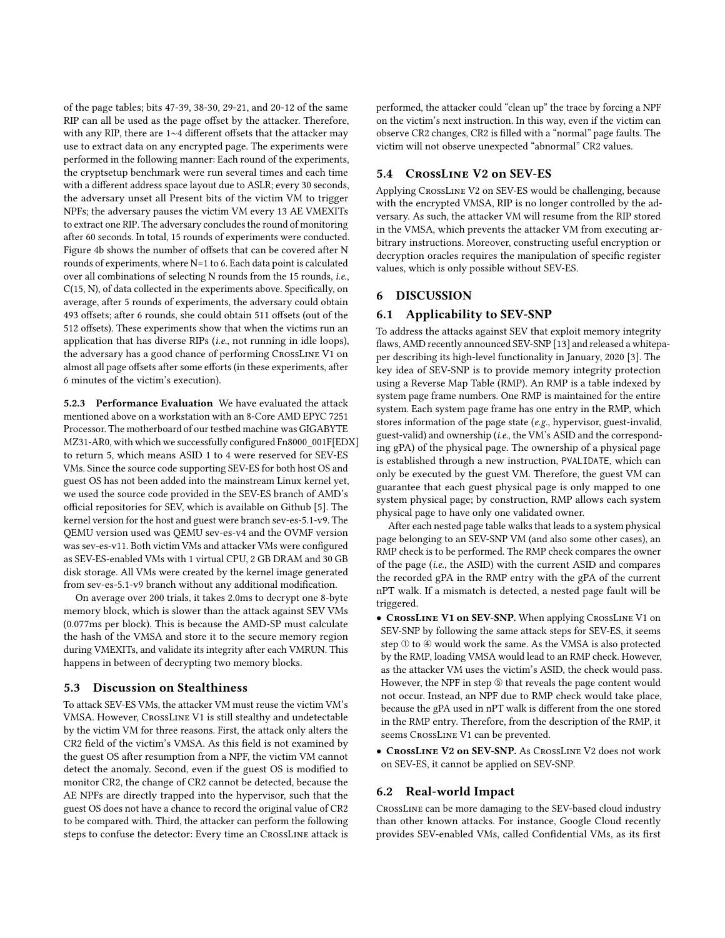of the page tables; bits 47-39, 38-30, 29-21, and 20-12 of the same RIP can all be used as the page offset by the attacker. Therefore, with any RIP, there are 1∼4 different offsets that the attacker may use to extract data on any encrypted page. The experiments were performed in the following manner: Each round of the experiments, the cryptsetup benchmark were run several times and each time with a different address space layout due to ASLR; every 30 seconds, the adversary unset all Present bits of the victim VM to trigger NPFs; the adversary pauses the victim VM every 13 AE VMEXITs to extract one RIP. The adversary concludes the round of monitoring after 60 seconds. In total, 15 rounds of experiments were conducted. Figure [4b](#page-9-0) shows the number of offsets that can be covered after N rounds of experiments, where N=1 to 6. Each data point is calculated over all combinations of selecting N rounds from the 15 rounds, i.e., C(15, N), of data collected in the experiments above. Specifically, on average, after 5 rounds of experiments, the adversary could obtain 493 offsets; after 6 rounds, she could obtain 511 offsets (out of the 512 offsets). These experiments show that when the victims run an application that has diverse RIPs (*i.e.*, not running in idle loops). the adversary has a good chance of performing CrossLine V1 on almost all page offsets after some efforts (in these experiments, after 6 minutes of the victim's execution).

5.2.3 Performance Evaluation We have evaluated the attack mentioned above on a workstation with an 8-Core AMD EPYC 7251 Processor. The motherboard of our testbed machine was GIGABYTE MZ31-AR0, with which we successfully configured Fn8000\_001F[EDX] to return 5, which means ASID 1 to 4 were reserved for SEV-ES VMs. Since the source code supporting SEV-ES for both host OS and guest OS has not been added into the mainstream Linux kernel yet, we used the source code provided in the SEV-ES branch of AMD's official repositories for SEV, which is available on Github [\[5\]](#page-12-5). The kernel version for the host and guest were branch sev-es-5.1-v9. The QEMU version used was QEMU sev-es-v4 and the OVMF version was sev-es-v11. Both victim VMs and attacker VMs were configured as SEV-ES-enabled VMs with 1 virtual CPU, 2 GB DRAM and 30 GB disk storage. All VMs were created by the kernel image generated from sev-es-5.1-v9 branch without any additional modification.

On average over 200 trials, it takes 2.0ms to decrypt one 8-byte memory block, which is slower than the attack against SEV VMs (0.077ms per block). This is because the AMD-SP must calculate the hash of the VMSA and store it to the secure memory region during VMEXITs, and validate its integrity after each VMRUN. This happens in between of decrypting two memory blocks.

## <span id="page-10-1"></span>5.3 Discussion on Stealthiness

To attack SEV-ES VMs, the attacker VM must reuse the victim VM's VMSA. However, CrossLine V1 is still stealthy and undetectable by the victim VM for three reasons. First, the attack only alters the CR2 field of the victim's VMSA. As this field is not examined by the guest OS after resumption from a NPF, the victim VM cannot detect the anomaly. Second, even if the guest OS is modified to monitor CR2, the change of CR2 cannot be detected, because the AE NPFs are directly trapped into the hypervisor, such that the guest OS does not have a chance to record the original value of CR2 to be compared with. Third, the attacker can perform the following steps to confuse the detector: Every time an CrossLine attack is performed, the attacker could "clean up" the trace by forcing a NPF on the victim's next instruction. In this way, even if the victim can observe CR2 changes, CR2 is filled with a "normal" page faults. The victim will not observe unexpected "abnormal" CR2 values.

# 5.4 CrossLine V2 on SEV-ES

Applying CrossLine V2 on SEV-ES would be challenging, because with the encrypted VMSA, RIP is no longer controlled by the adversary. As such, the attacker VM will resume from the RIP stored in the VMSA, which prevents the attacker VM from executing arbitrary instructions. Moreover, constructing useful encryption or decryption oracles requires the manipulation of specific register values, which is only possible without SEV-ES.

# <span id="page-10-0"></span>6 DISCUSSION

# 6.1 Applicability to SEV-SNP

To address the attacks against SEV that exploit memory integrity flaws, AMD recently announced SEV-SNP [\[13\]](#page-13-11) and released a whitepaper describing its high-level functionality in January, 2020 [\[3\]](#page-12-6). The key idea of SEV-SNP is to provide memory integrity protection using a Reverse Map Table (RMP). An RMP is a table indexed by system page frame numbers. One RMP is maintained for the entire system. Each system page frame has one entry in the RMP, which stores information of the page state (e.g., hypervisor, guest-invalid, guest-valid) and ownership (i.e., the VM's ASID and the corresponding gPA) of the physical page. The ownership of a physical page is established through a new instruction, PVALIDATE, which can only be executed by the guest VM. Therefore, the guest VM can guarantee that each guest physical page is only mapped to one system physical page; by construction, RMP allows each system physical page to have only one validated owner.

After each nested page table walks that leads to a system physical page belonging to an SEV-SNP VM (and also some other cases), an RMP check is to be performed. The RMP check compares the owner of the page (i.e., the ASID) with the current ASID and compares the recorded gPA in the RMP entry with the gPA of the current nPT walk. If a mismatch is detected, a nested page fault will be triggered.

- CrossLine V1 on SEV-SNP. When applying CrossLine V1 on SEV-SNP by following the same attack steps for SEV-ES, it seems step ➀ to ➃ would work the same. As the VMSA is also protected by the RMP, loading VMSA would lead to an RMP check. However, as the attacker VM uses the victim's ASID, the check would pass. However, the NPF in step  $@$  that reveals the page content would not occur. Instead, an NPF due to RMP check would take place, because the gPA used in nPT walk is different from the one stored in the RMP entry. Therefore, from the description of the RMP, it seems CrossLine V1 can be prevented.
- CrossLine V2 on SEV-SNP. As CrossLine V2 does not work on SEV-ES, it cannot be applied on SEV-SNP.

# 6.2 Real-world Impact

CrossLine can be more damaging to the SEV-based cloud industry than other known attacks. For instance, Google Cloud recently provides SEV-enabled VMs, called Confidential VMs, as its first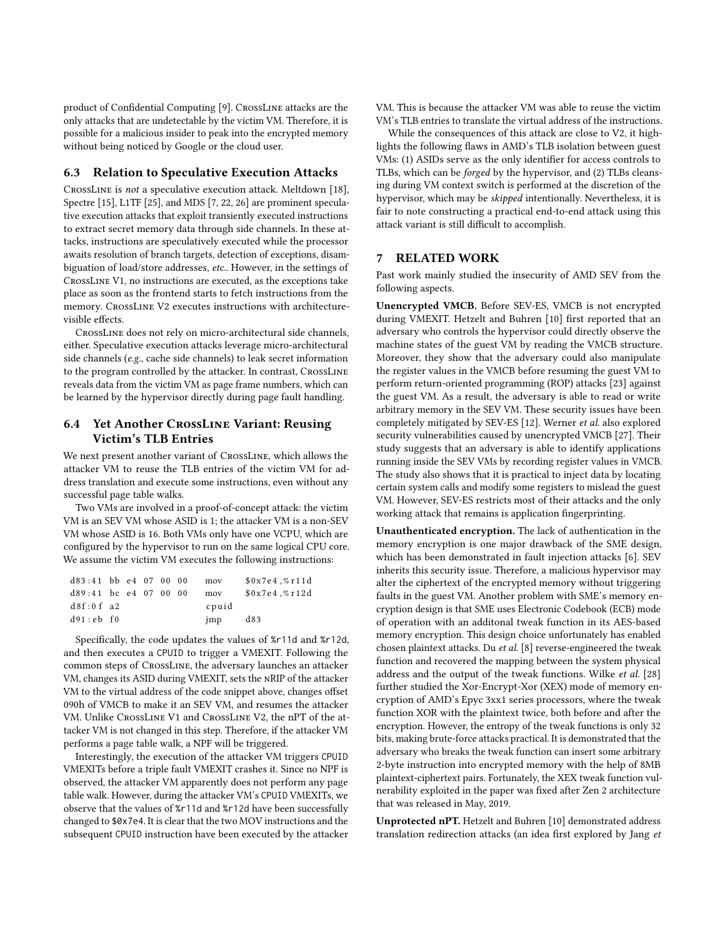product of Confidential Computing [\[9\]](#page-13-1). CrossLine attacks are the only attacks that are undetectable by the victim VM. Therefore, it is possible for a malicious insider to peak into the encrypted memory without being noticed by Google or the cloud user.

#### 6.3 Relation to Speculative Execution Attacks

CrossLine is not a speculative execution attack. Meltdown [\[18\]](#page-13-12), Spectre [\[15\]](#page-13-13), L1TF [\[25\]](#page-13-14), and MDS [\[7,](#page-12-7) [22,](#page-13-15) [26\]](#page-13-16) are prominent speculative execution attacks that exploit transiently executed instructions to extract secret memory data through side channels. In these attacks, instructions are speculatively executed while the processor awaits resolution of branch targets, detection of exceptions, disambiguation of load/store addresses, etc.. However, in the settings of CrossLine V1, no instructions are executed, as the exceptions take place as soon as the frontend starts to fetch instructions from the memory. CrossLine V2 executes instructions with architecturevisible effects.

CrossLine does not rely on micro-architectural side channels, either. Speculative execution attacks leverage micro-architectural side channels (e.g., cache side channels) to leak secret information to the program controlled by the attacker. In contrast, CrossLine reveals data from the victim VM as page frame numbers, which can be learned by the hypervisor directly during page fault handling.

# <span id="page-11-0"></span>6.4 Yet Another CrossLine Variant: Reusing Victim's TLB Entries

We next present another variant of CrossLine, which allows the attacker VM to reuse the TLB entries of the victim VM for address translation and execute some instructions, even without any successful page table walks.

Two VMs are involved in a proof-of-concept attack: the victim VM is an SEV VM whose ASID is 1; the attacker VM is a non-SEV VM whose ASID is 16. Both VMs only have one VCPU, which are configured by the hypervisor to run on the same logical CPU core. We assume the victim VM executes the following instructions:

| $d83:41$ bb e4 07 00 00 |  |  | mov   | \$0x7e4, %r11d |
|-------------------------|--|--|-------|----------------|
| $d89:41$ bc e4 07 00 00 |  |  | mov   | \$0x7e4, %r12d |
| d8f:0f a2               |  |  | cpuid |                |
| d91:ebf0                |  |  | imp   | d83            |

Specifically, the code updates the values of %r11d and %r12d, and then executes a CPUID to trigger a VMEXIT. Following the common steps of CrossLine, the adversary launches an attacker VM, changes its ASID during VMEXIT, sets the nRIP of the attacker VM to the virtual address of the code snippet above, changes offset 090h of VMCB to make it an SEV VM, and resumes the attacker VM. Unlike CrossLine V1 and CrossLine V2, the nPT of the attacker VM is not changed in this step. Therefore, if the attacker VM performs a page table walk, a NPF will be triggered.

Interestingly, the execution of the attacker VM triggers CPUID VMEXITs before a triple fault VMEXIT crashes it. Since no NPF is observed, the attacker VM apparently does not perform any page table walk. However, during the attacker VM's CPUID VMEXITs, we observe that the values of %r11d and %r12d have been successfully changed to \$0x7e4. It is clear that the two MOV instructions and the subsequent CPUID instruction have been executed by the attacker VM. This is because the attacker VM was able to reuse the victim VM's TLB entries to translate the virtual address of the instructions.

While the consequences of this attack are close to V2, it highlights the following flaws in AMD's TLB isolation between guest VMs: (1) ASIDs serve as the only identifier for access controls to TLBs, which can be forged by the hypervisor, and (2) TLBs cleansing during VM context switch is performed at the discretion of the hypervisor, which may be skipped intentionally. Nevertheless, it is fair to note constructing a practical end-to-end attack using this attack variant is still difficult to accomplish.

#### 7 RELATED WORK

Past work mainly studied the insecurity of AMD SEV from the following aspects.

Unencrypted VMCB. Before SEV-ES, VMCB is not encrypted during VMEXIT. Hetzelt and Buhren [\[10\]](#page-13-3) first reported that an adversary who controls the hypervisor could directly observe the machine states of the guest VM by reading the VMCB structure. Moreover, they show that the adversary could also manipulate the register values in the VMCB before resuming the guest VM to perform return-oriented programming (ROP) attacks [\[23\]](#page-13-17) against the guest VM. As a result, the adversary is able to read or write arbitrary memory in the SEV VM. These security issues have been completely mitigated by SEV-ES [\[12\]](#page-13-10). Werner et al. also explored security vulnerabilities caused by unencrypted VMCB [\[27\]](#page-13-7). Their study suggests that an adversary is able to identify applications running inside the SEV VMs by recording register values in VMCB. The study also shows that it is practical to inject data by locating certain system calls and modify some registers to mislead the guest VM. However, SEV-ES restricts most of their attacks and the only working attack that remains is application fingerprinting.

Unauthenticated encryption. The lack of authentication in the memory encryption is one major drawback of the SME design, which has been demonstrated in fault injection attacks [\[6\]](#page-12-1). SEV inherits this security issue. Therefore, a malicious hypervisor may alter the ciphertext of the encrypted memory without triggering faults in the guest VM. Another problem with SME's memory encryption design is that SME uses Electronic Codebook (ECB) mode of operation with an additonal tweak function in its AES-based memory encryption. This design choice unfortunately has enabled chosen plaintext attacks. Du et al. [\[8\]](#page-12-2) reverse-engineered the tweak function and recovered the mapping between the system physical address and the output of the tweak functions. Wilke et al. [\[28\]](#page-13-18) further studied the Xor-Encrypt-Xor (XEX) mode of memory encryption of AMD's Epyc 3xx1 series processors, where the tweak function XOR with the plaintext twice, both before and after the encryption. However, the entropy of the tweak functions is only 32 bits, making brute-force attacks practical. It is demonstrated that the adversary who breaks the tweak function can insert some arbitrary 2-byte instruction into encrypted memory with the help of 8MB plaintext-ciphertext pairs. Fortunately, the XEX tweak function vulnerability exploited in the paper was fixed after Zen 2 architecture that was released in May, 2019.

Unprotected nPT. Hetzelt and Buhren [\[10\]](#page-13-3) demonstrated address translation redirection attacks (an idea first explored by Jang et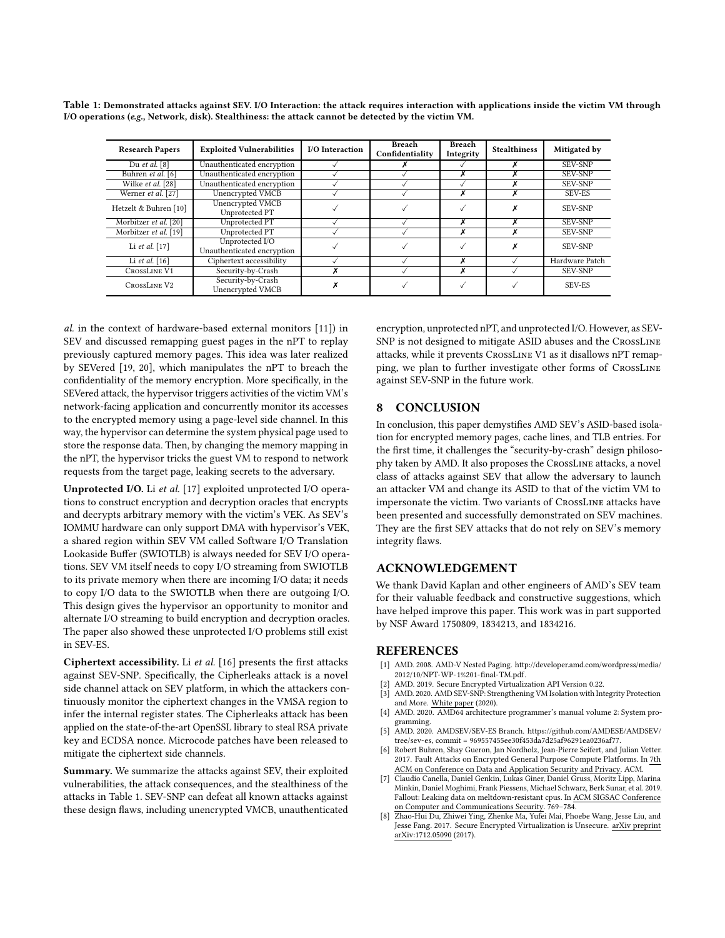| <b>Research Papers</b> | <b>Exploited Vulnerabilities</b>              | I/O Interaction | Breach<br>Confidentiality | <b>Breach</b><br>Integrity | <b>Stealthiness</b> | Mitigated by   |
|------------------------|-----------------------------------------------|-----------------|---------------------------|----------------------------|---------------------|----------------|
| Du et al. [8]          | Unauthenticated encryption                    |                 |                           |                            | х                   | <b>SEV-SNP</b> |
| Buhren et al. [6]      | Unauthenticated encryption                    |                 |                           | x                          |                     | <b>SEV-SNP</b> |
| Wilke et al. [28]      | Unauthenticated encryption                    |                 |                           |                            | ^                   | <b>SEV-SNP</b> |
| Werner et al. [27]     | Unencrypted VMCB                              |                 |                           | x                          | x                   | SEV-ES         |
| Hetzelt & Buhren [10]  | Unencrypted VMCB<br>Unprotected PT            |                 |                           |                            | Х                   | <b>SEV-SNP</b> |
| Morbitzer et al. [20]  | Unprotected PT                                |                 |                           | x                          | x                   | <b>SEV-SNP</b> |
| Morbitzer et al. [19]  | Unprotected PT                                |                 |                           | x                          | X                   | <b>SEV-SNP</b> |
| Li et al. $[17]$       | Unprotected I/O<br>Unauthenticated encryption |                 |                           |                            | X                   | <b>SEV-SNP</b> |
| Li et al. [16]         | Ciphertext accessibility                      |                 |                           | x                          |                     | Hardware Patch |
| <b>CROSSLINE V1</b>    | Security-by-Crash                             |                 |                           | х                          |                     | <b>SEV-SNP</b> |
| CROSSLINE V2           | Security-by-Crash<br>Unencrypted VMCB         |                 |                           |                            |                     | <b>SEV-ES</b>  |

<span id="page-12-8"></span>Table 1: Demonstrated attacks against SEV. I/O Interaction: the attack requires interaction with applications inside the victim VM through I/O operations (e.g., Network, disk). Stealthiness: the attack cannot be detected by the victim VM.

al. in the context of hardware-based external monitors [\[11\]](#page-13-20)) in SEV and discussed remapping guest pages in the nPT to replay previously captured memory pages. This idea was later realized by SEVered [\[19,](#page-13-5) [20\]](#page-13-6), which manipulates the nPT to breach the confidentiality of the memory encryption. More specifically, in the SEVered attack, the hypervisor triggers activities of the victim VM's network-facing application and concurrently monitor its accesses to the encrypted memory using a page-level side channel. In this way, the hypervisor can determine the system physical page used to store the response data. Then, by changing the memory mapping in the nPT, the hypervisor tricks the guest VM to respond to network requests from the target page, leaking secrets to the adversary.

Unprotected I/O. Li et al. [\[17\]](#page-13-4) exploited unprotected I/O operations to construct encryption and decryption oracles that encrypts and decrypts arbitrary memory with the victim's VEK. As SEV's IOMMU hardware can only support DMA with hypervisor's VEK, a shared region within SEV VM called Software I/O Translation Lookaside Buffer (SWIOTLB) is always needed for SEV I/O operations. SEV VM itself needs to copy I/O streaming from SWIOTLB to its private memory when there are incoming I/O data; it needs to copy I/O data to the SWIOTLB when there are outgoing I/O. This design gives the hypervisor an opportunity to monitor and alternate I/O streaming to build encryption and decryption oracles. The paper also showed these unprotected I/O problems still exist in SEV-ES.

Ciphertext accessibility. Li et al. [\[16\]](#page-13-19) presents the first attacks against SEV-SNP. Specifically, the Cipherleaks attack is a novel side channel attack on SEV platform, in which the attackers continuously monitor the ciphertext changes in the VMSA region to infer the internal register states. The Cipherleaks attack has been applied on the state-of-the-art OpenSSL library to steal RSA private key and ECDSA nonce. Microcode patches have been released to mitigate the ciphertext side channels.

Summary. We summarize the attacks against SEV, their exploited vulnerabilities, the attack consequences, and the stealthiness of the attacks in Table [1.](#page-12-8) SEV-SNP can defeat all known attacks against these design flaws, including unencrypted VMCB, unauthenticated encryption, unprotected nPT, and unprotected I/O. However, as SEV-SNP is not designed to mitigate ASID abuses and the CrossLine attacks, while it prevents CrossLine V1 as it disallows nPT remapping, we plan to further investigate other forms of CrossLine against SEV-SNP in the future work.

## 8 CONCLUSION

In conclusion, this paper demystifies AMD SEV's ASID-based isolation for encrypted memory pages, cache lines, and TLB entries. For the first time, it challenges the "security-by-crash" design philosophy taken by AMD. It also proposes the CrossLine attacks, a novel class of attacks against SEV that allow the adversary to launch an attacker VM and change its ASID to that of the victim VM to impersonate the victim. Two variants of CrossLine attacks have been presented and successfully demonstrated on SEV machines. They are the first SEV attacks that do not rely on SEV's memory integrity flaws.

#### ACKNOWLEDGEMENT

We thank David Kaplan and other engineers of AMD's SEV team for their valuable feedback and constructive suggestions, which have helped improve this paper. This work was in part supported by NSF Award 1750809, 1834213, and 1834216.

#### REFERENCES

- <span id="page-12-3"></span>[1] AMD. 2008. AMD-V Nested Paging. [http://developer.amd.com/wordpress/media/](http://developer.amd.com/wordpress/media/2012/10/NPT-WP-1%201-final-TM.pdf) [2012/10/NPT-WP-1%201-final-TM.pdf.](http://developer.amd.com/wordpress/media/2012/10/NPT-WP-1%201-final-TM.pdf)
- <span id="page-12-4"></span>[2] AMD. 2019. Secure Encrypted Virtualization API Version 0.22.
- <span id="page-12-6"></span>AMD. 2020. AMD SEV-SNP: Strengthening VM Isolation with Integrity Protection and More. White paper (2020).
- <span id="page-12-0"></span>[4] AMD. 2020. AMD64 architecture programmer's manual volume 2: System programming.
- <span id="page-12-5"></span>[5] AMD. 2020. AMDSEV/SEV-ES Branch. [https://github.com/AMDESE/AMDSEV/](https://github.com/AMDESE/AMDSEV/tree/sev-es) [tree/sev-es,](https://github.com/AMDESE/AMDSEV/tree/sev-es) commit = 969557455ee30f453da7d25af96291ea0236af77.
- <span id="page-12-1"></span>[6] Robert Buhren, Shay Gueron, Jan Nordholz, Jean-Pierre Seifert, and Julian Vetter. 2017. Fault Attacks on Encrypted General Purpose Compute Platforms. In 7th ACM on Conference on Data and Application Security and Privacy. ACM.
- <span id="page-12-7"></span>[7] Claudio Canella, Daniel Genkin, Lukas Giner, Daniel Gruss, Moritz Lipp, Marina Minkin, Daniel Moghimi, Frank Piessens, Michael Schwarz, Berk Sunar, et al. 2019. Fallout: Leaking data on meltdown-resistant cpus. In ACM SIGSAC Conference on Computer and Communications Security. 769–784.
- <span id="page-12-2"></span>[8] Zhao-Hui Du, Zhiwei Ying, Zhenke Ma, Yufei Mai, Phoebe Wang, Jesse Liu, and Jesse Fang. 2017. Secure Encrypted Virtualization is Unsecure. arXiv preprint arXiv:1712.05090 (2017).